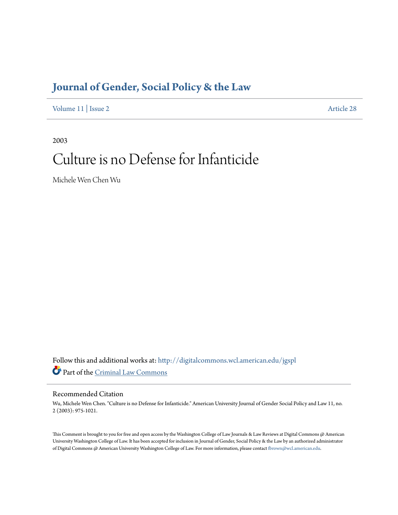# **[Journal of Gender, Social Policy & the Law](http://digitalcommons.wcl.american.edu/jgspl?utm_source=digitalcommons.wcl.american.edu%2Fjgspl%2Fvol11%2Fiss2%2F28&utm_medium=PDF&utm_campaign=PDFCoverPages)**

[Volume 11](http://digitalcommons.wcl.american.edu/jgspl/vol11?utm_source=digitalcommons.wcl.american.edu%2Fjgspl%2Fvol11%2Fiss2%2F28&utm_medium=PDF&utm_campaign=PDFCoverPages) | [Issue 2](http://digitalcommons.wcl.american.edu/jgspl/vol11/iss2?utm_source=digitalcommons.wcl.american.edu%2Fjgspl%2Fvol11%2Fiss2%2F28&utm_medium=PDF&utm_campaign=PDFCoverPages) [Article 28](http://digitalcommons.wcl.american.edu/jgspl/vol11/iss2/28?utm_source=digitalcommons.wcl.american.edu%2Fjgspl%2Fvol11%2Fiss2%2F28&utm_medium=PDF&utm_campaign=PDFCoverPages)

2003

# Culture is no Defense for Infanticide

Michele Wen Chen Wu

Follow this and additional works at: [http://digitalcommons.wcl.american.edu/jgspl](http://digitalcommons.wcl.american.edu/jgspl?utm_source=digitalcommons.wcl.american.edu%2Fjgspl%2Fvol11%2Fiss2%2F28&utm_medium=PDF&utm_campaign=PDFCoverPages) Part of the [Criminal Law Commons](http://network.bepress.com/hgg/discipline/912?utm_source=digitalcommons.wcl.american.edu%2Fjgspl%2Fvol11%2Fiss2%2F28&utm_medium=PDF&utm_campaign=PDFCoverPages)

# Recommended Citation

Wu, Michele Wen Chen. "Culture is no Defense for Infanticide." American University Journal of Gender Social Policy and Law 11, no. 2 (2003): 975-1021.

This Comment is brought to you for free and open access by the Washington College of Law Journals & Law Reviews at Digital Commons @ American University Washington College of Law. It has been accepted for inclusion in Journal of Gender, Social Policy & the Law by an authorized administrator of Digital Commons @ American University Washington College of Law. For more information, please contact [fbrown@wcl.american.edu.](mailto:fbrown@wcl.american.edu)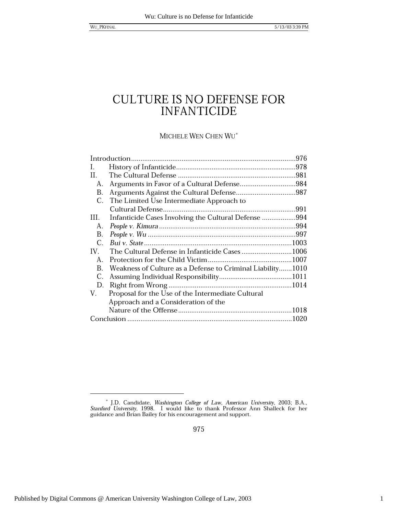MICHELE WEN CHEN WU\*

| Ι.          |                                                            |  |
|-------------|------------------------------------------------------------|--|
| Н.          |                                                            |  |
| А.          |                                                            |  |
| В.          |                                                            |  |
| C.          | The Limited Use Intermediate Approach to                   |  |
|             |                                                            |  |
| Ш.          | Infanticide Cases Involving the Cultural Defense 994       |  |
| А.          |                                                            |  |
| В.          |                                                            |  |
| $C_{\cdot}$ |                                                            |  |
| IV.         | The Cultural Defense in Infanticide Cases1006              |  |
| $A_{-}$     |                                                            |  |
| B.          | Weakness of Culture as a Defense to Criminal Liability1010 |  |
| C.          |                                                            |  |
| D.          |                                                            |  |
| V.          | Proposal for the Use of the Intermediate Cultural          |  |
|             | Approach and a Consideration of the                        |  |
|             |                                                            |  |
|             |                                                            |  |

975

 $^\ast$  J.D. Candidate, Washington College of Law, American University, 2003; B.A., Stanford University, 1998. I would like to thank Professor Ann Shalleck for her guidance and Brian Bailey for his encouragement and support.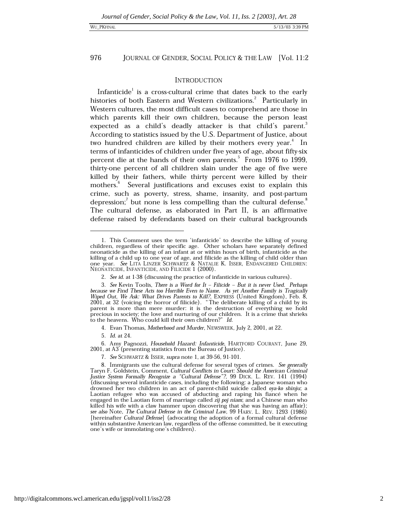### WU PKFINAL

### 976 JOURNAL OF GENDER, SOCIAL POLICY & THE LAW [Vol. 11:2

# **INTRODUCTION**

Infanticide<sup>1</sup> is a cross-cultural crime that dates back to the early histories of both Eastern and Western civilizations.<sup>2</sup> Particularly in Western cultures, the most difficult cases to comprehend are those in which parents kill their own children, because the person least expected as a child's deadly attacker is that child's parent. According to statistics issued by the U.S. Department of Justice, about two hundred children are killed by their mothers every year.<sup>4</sup> In terms of infanticides of children under five years of age, about fifty-six percent die at the hands of their own parents.<sup>5</sup> From 1976 to 1999, thirty-one percent of all children slain under the age of five were killed by their fathers, while thirty percent were killed by their mothers.<sup>b</sup> Several justifications and excuses exist to explain this crime, such as poverty, stress, shame, insanity, and post-partum depression; but none is less compelling than the cultural defense. The cultural defense, as elaborated in Part II, is an affirmative defense raised by defendants based on their cultural backgrounds

7. See SCHWARTZ & ISSER, supra note 1, at 39-56, 91-101.

<sup>1.</sup> This Comment uses the term 'infanticide' to describe the killing of young children, regardless of their specific age. Other scholars have separately defined neonaticide as the killing of an infant at or within hours of birth, infanticide as the killing of a child up to one year of age, and filicide as the killing of child older than one year. See LITA LINZER SCHWARTZ & NATALIE K. ISSER, ENDANGERED CHILDREN: NEONATICIDE, INFANTICIDE, AND FILICIDE 1 (2000).

<sup>2.</sup> See id. at 1-38 (discussing the practice of infanticide in various cultures).

<sup>3.</sup> See Kevin Toolis, There is a Word for It - Filicide - But it is never Used. Perhaps because we Find These Acts too Horrible Even to Name. As yet Another Family is Tragically Wiped Out, We Ask: What Drives Parents to Kill?, EXPRESS (United Kingdom), Feb. 8, 2001, at 32 (voicing the horror of filicide). "The deliberate killing of a child by its parent is more than mere murder: it is the destruction of everything we hold precious in society; the love and nurturing of our children. It is a crime that shrieks to the heavens. Who could kill their own children?" Id.

<sup>4.</sup> Evan Thomas, Motherhood and Murder, NEWSWEEK, July 2, 2001, at 22.

<sup>5.</sup> Id. at 24.

<sup>6.</sup> Amy Pagnozzi, Household Hazard: Infanticide, HARTFORD COURANT, June 29, 2001, at A3 (presenting statistics from the Bureau of Justice).

<sup>8.</sup> Immigrants use the cultural defense for several types of crimes. See generally Taryn F. Goldstein, Comment, Cultural Conflicts in Court: Should the American Criminal Justice System Formally Recognize a "Cultural Defense"?, 99 DICK. L. REV. 141 (1994) (discussing several infanticide cases, including the following: a Japanese woman who drowned her two children in an act of parent-child suicide called oya-ko shinju; a Laotian refugee who was accused of abducting and raping his fiance when he engaged in the Laotian form of marriage called zij poj niam; and a Chinese man who killed his wife with a claw hammer upon discovering that she was having an affair); see also Note, The Cultural Defense in the Criminal Law, 99 HARV. L. REV. 1293 (1986) [hereinafter Cultural Defense] (advocating the adoption of a formal cultural defense within substantive American law, regardless of the offense committed, be it executing one's wife or immolating one's children).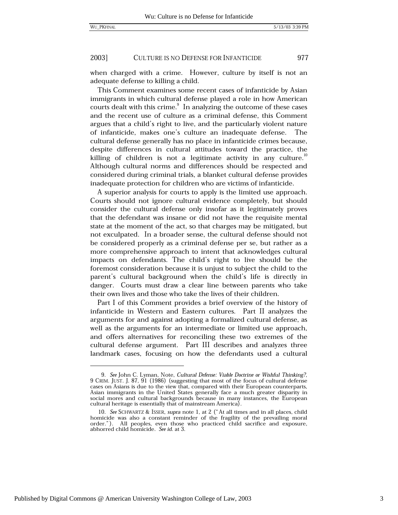977

#### 2003] CULTURE IS NO DEFENSE FOR INFANTICIDE

when charged with a crime. However, culture by itself is not an adequate defense to killing a child.

This Comment examines some recent cases of infanticide by Asian immigrants in which cultural defense played a role in how American courts dealt with this crime.<sup>9</sup> In analyzing the outcome of these cases and the recent use of culture as a criminal defense, this Comment argues that a child's right to live, and the particularly violent nature of infanticide, makes one's culture an inadequate defense. The cultural defense generally has no place in infanticide crimes because, despite differences in cultural attitudes toward the practice, the killing of children is not a legitimate activity in any culture.<sup>10</sup> Although cultural norms and differences should be respected and considered during criminal trials, a blanket cultural defense provides inadequate protection for children who are victims of infanticide.

A superior analysis for courts to apply is the limited use approach. Courts should not ignore cultural evidence completely, but should consider the cultural defense only insofar as it legitimately proves that the defendant was insane or did not have the requisite mental state at the moment of the act, so that charges may be mitigated, but not exculpated. In a broader sense, the cultural defense should not be considered properly as a criminal defense per se, but rather as a more comprehensive approach to intent that acknowledges cultural impacts on defendants. The child's right to live should be the foremost consideration because it is unjust to subject the child to the parent's cultural background when the child's life is directly in danger. Courts must draw a clear line between parents who take their own lives and those who take the lives of their children.

Part I of this Comment provides a brief overview of the history of infanticide in Western and Eastern cultures. Part II analyzes the arguments for and against adopting a formalized cultural defense, as well as the arguments for an intermediate or limited use approach, and offers alternatives for reconciling these two extremes of the cultural defense argument. Part III describes and analyzes three landmark cases, focusing on how the defendants used a cultural

Published by Digital Commons @ American University Washington College of Law, 2003

<sup>9.</sup> See John C. Lyman, Note, Cultural Defense: Viable Doctrine or Wishful Thinking?, 9 CRIM. JUST. J. 87, 91 (1986) (suggesting that most of the focus of cultural defense cases on Asians is due to the view that, compared with their European counterparts, Asian immigrants in the United States generally face a much greater disparity in social mores and cultural backgrounds because in many instances, the European cultural heritage is essentially that of mainstream America).

<sup>10.</sup> See SCHWARTZ & ISSER, supra note 1, at 2 ("At all times and in all places, child homicide was also a constant reminder of the fragility of the prevailing moral order."). All peoples, even those who practiced child sacrifice and exposure, abhorred child homicide. See id. at 3.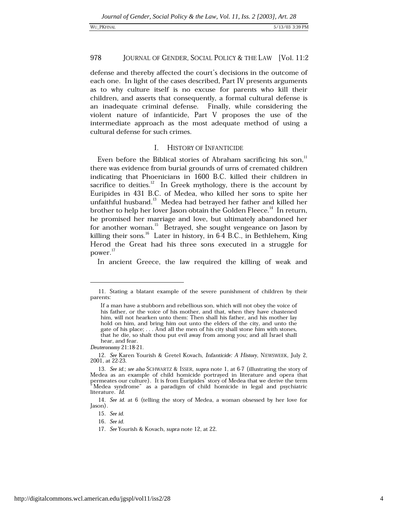defense and thereby affected the court's decisions in the outcome of each one. In light of the cases described, Part IV presents arguments as to why culture itself is no excuse for parents who kill their children, and asserts that consequently, a formal cultural defense is an inadequate criminal defense. Finally, while considering the violent nature of infanticide, Part V proposes the use of the intermediate approach as the most adequate method of using a cultural defense for such crimes.

# I. HISTORY OF INFANTICIDE

Even before the Biblical stories of Abraham sacrificing his son,<sup>11</sup> there was evidence from burial grounds of urns of cremated children indicating that Phoenicians in 1600 B.C. killed their children in sacrifice to deities.<sup>12</sup> In Greek mythology, there is the account by Euripides in 431 B.C. of Medea, who killed her sons to spite her unfaithful husband.<sup>13</sup> Medea had betrayed her father and killed her brother to help her lover Jason obtain the Golden Fleece.<sup>14</sup> In return, he promised her marriage and love, but ultimately abandoned her for another woman.<sup>15</sup> Betrayed, she sought vengeance on Jason by killing their sons.<sup>16</sup> Later in history, in 6-4 B.C., in Bethlehem, King Herod the Great had his three sons executed in a struggle for power. $^{17}$ 

In ancient Greece, the law required the killing of weak and

<sup>11.</sup> Stating a blatant example of the severe punishment of children by their parents:

If a man have a stubborn and rebellious son, which will not obey the voice of his father, or the voice of his mother, and that, when they have chastened him, will not hearken unto them: Then shall his father, and his mother lay hold on him, and bring him out unto the elders of the city, and unto the gate of his place; . . . And all the men of his city shall stone him with stones, that he die, so shalt thou put evil away from among you; and all Israel shall hear, and fear.

Deuteronomy 21:18-21

<sup>12.</sup> See Karen Yourish & Gretel Kovach, Infanticide: A History, NEWSWEEK, July 2, 2001, at 22-23.

<sup>13.</sup> See id.; see also SCHWARTZ & ISSER, supra note 1, at 6-7 (illustrating the story of Medea as an example of child homicide portrayed in literature and opera that<br>permeates our culture). It is from Euripides' story of Medea that we derive the term<br>"Medea syndrome" as a paradigm of child homicide in legal an literature. Id.

<sup>14.</sup> See id. at 6 (telling the story of Medea, a woman obsessed by her love for Jason).

<sup>15.</sup> See id.

<sup>16.</sup> See id.

<sup>17.</sup> See Yourish & Kovach, supra note 12, at 22.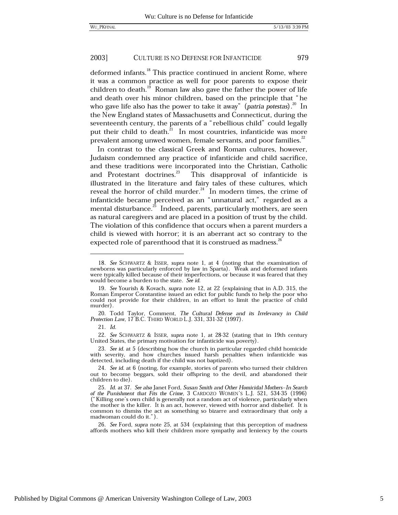deformed infants.<sup>18</sup> This practice continued in ancient Rome, where it was a common practice as well for poor parents to expose their children to death.<sup>19</sup> Roman law also gave the father the power of life and death over his minor children, based on the principle that "he who gave life also has the power to take it away" (patria potestas). $^{20}$  In the New England states of Massachusetts and Connecticut, during the seventeenth century, the parents of a "rebellious child" could legally put their child to death.<sup>21</sup> In most countries, infanticide was more prevalent among unwed women, female servants, and poor families.<sup>22</sup>

In contrast to the classical Greek and Roman cultures, however, Judaism condemned any practice of infanticide and child sacrifice, and these traditions were incorporated into the Christian, Catholic and Protestant doctrines.<sup>23</sup> This disapproval of infanticide is illustrated in the literature and fairy tales of these cultures, which reveal the horror of child murder.<sup>24</sup> In modern times, the crime of infanticide became perceived as an "unnatural act," regarded as a mental disturbance.<sup>25</sup> Indeed, parents, particularly mothers, are seen as natural caregivers and are placed in a position of trust by the child. The violation of this confidence that occurs when a parent murders a child is viewed with horror; it is an aberrant act so contrary to the expected role of parenthood that it is construed as madness.<sup>26</sup>

22. See SCHWARTZ & ISSER, supra note 1, at 28-32 (stating that in 19th century United States, the primary motivation for infanticide was poverty).

<sup>18.</sup> See SCHWARTZ & ISSER, supra note 1, at 4 (noting that the examination of newborns was particularly enforced by law in Sparta). Weak and deformed infants were typically killed because of their imperfections, or because it was feared that they would become a burden to the state. See id.

<sup>19.</sup> See Yourish & Kovach, supra note 12, at 22 (explaining that in A.D. 315, the Roman Emperor Constantine issued an edict for public funds to help the poor who could not provide for their children, in an effort to limit the practice of child murder).

<sup>20.</sup> Todd Taylor, Comment,  $The$  Cultural Defense and its Irrelevancy in Child Protection Law, 17 B.C. THIRD WORLD L.J. 331, 331-32 (1997).

<sup>21.</sup> Id.

<sup>23.</sup> See id. at 5 (describing how the church in particular regarded child homicide with severity, and how churches issued harsh penalties when infanticide was detected, including death if the child was not baptized).

<sup>24.</sup> See id. at 6 (noting, for example, stories of parents who turned their children out to become beggars, sold their offspring to the devil, and abandoned their children to die).

<sup>25.</sup> Id. at 37. See also Janet Ford, Susan Smith and Other Homicidal Mothers-In Search of the Punishment that Fits the Crime, 3 CARDOZO WOMEN'S L.J. 521, 534-35 (1996) ("Killing one's own child is generally not a random act of violence, particularly when the mother is the killer. It is an act, however, viewed with horror and disbelief. It is common to dismiss the act as something so bizarre and extraordinary that only a madwoman could do it.").

<sup>26.</sup> See Ford, supra note 25, at 534 (explaining that this perception of madness affords mothers who kill their children more sympathy and leniency by the courts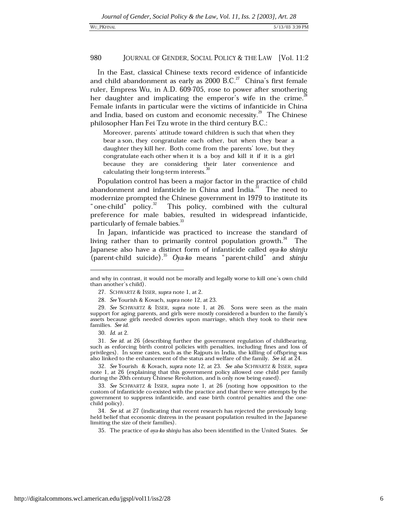In the East, classical Chinese texts record evidence of infanticide and child abandonment as early as  $2000$  B.C.<sup>27</sup> China's first female ruler, Empress Wu, in A.D. 609-705, rose to power after smothering her daughter and implicating the emperor's wife in the crime. Female infants in particular were the victims of infanticide in China and India, based on custom and economic necessity.<sup>29</sup> The Chinese philosopher Han Fei Tzu wrote in the third century B.C.:

Moreover, parents' attitude toward children is such that when they bear a son, they congratulate each other, but when they bear a daughter they kill her. Both come from the parents' love, but they congratulate each other when it is a boy and kill it if it is a girl because they are considering their later convenience and calculating their long-term interests.<sup>30</sup>

Population control has been a major factor in the practice of child abandonment and infanticide in China and India.<sup>31</sup> The need to modernize prompted the Chinese government in 1979 to institute its "one-child" policy.<sup>32</sup> This policy, combined with the cultural preference for male babies, resulted in widespread infanticide, particularly of female babies.<sup>33</sup>

In Japan, infanticide was practiced to increase the standard of living rather than to primarily control population growth.<sup>34</sup> The Japanese also have a distinct form of infanticide called oya-ko shinju (parent-child suicide).<sup>35</sup> Oya-ko means "parent-child" and shinju

and why in contrast, it would not be morally and legally worse to kill one's own child than another's child).

<sup>27.</sup> SCHWARTZ & ISSER, supra note 1, at 2.

<sup>28.</sup> See Yourish & Kovach, supra note 12, at 23.

<sup>29.</sup> See SCHWARTZ & ISSER, supra note 1, at 26. Sons were seen as the main support for aging parents, and girls were mostly considered a burden to the family's assets because girls needed dowries upon marriage, which they took to their new families. See id.

<sup>30.</sup> Id. at 2.

<sup>31.</sup> See id. at 26 (describing further the government regulation of childbearing, such as enforcing birth control policies with penalties, including fines and loss of privileges). In some castes, such as the Rajputs in India, the killing of offspring was also linked to the enhancement of the status and welfare of the family. See id. at 24.

<sup>32.</sup> See Yourish & Kovach, supra note 12, at 23. See also SCHWARTZ & ISSER, supra note 1, at 26 (explaining that this government policy allowed one child per family during the 20th century Chinese Revolution, and is only now being eased).

<sup>33.</sup> See SCHWARTZ & ISSER, supra note 1, at 26 (noting how opposition to the custom of infanticide co-existed with the practice and that there were attempts by the government to suppress infanticide, and ease birth control penalties and the onechild policy).

<sup>34.</sup> See id. at 27 (indicating that recent research has rejected the previously longheld belief that economic distress in the peasant population resulted in the Japanese limiting the size of their families).

<sup>35.</sup> The practice of *oya-ko shinju* has also been identified in the United States. See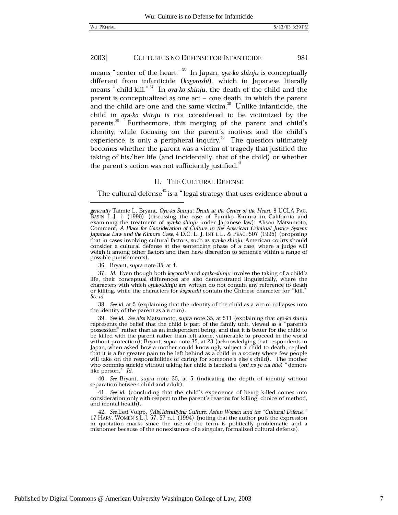means "center of the heart."<sup>36</sup> In Japan, oya-ko shinju is conceptually different from infanticide (kogoroshi), which in Japanese literally means "child-kill."<sup>37</sup> In ova-ko shinju, the death of the child and the parent is conceptualized as one act - one death, in which the parent and the child are one and the same victim.<sup>38</sup> Unlike infanticide, the child in oya-ko shinju is not considered to be victimized by the parents.<sup>39</sup> Furthermore, this merging of the parent and child's identity, while focusing on the parent's motives and the child's experience, is only a peripheral inquiry.<sup> $40$ </sup> The question ultimately becomes whether the parent was a victim of tragedy that justified the taking of his/her life (and incidentally, that of the child) or whether the parent's action was not sufficiently justified.<sup>41</sup>

# II. THE CULTURAL DEFENSE

The cultural defense<sup>42</sup> is a "legal strategy that uses evidence about a

36. Bryant, *supra* note 35, at 4.

37. Id. Even though both kogoroshi and ovako-shinju involve the taking of a child's life, their conceptual differences are also demonstrated linguistically, where the characters with which *ovako-shinju* are written do not contain any reference to death or killing, while the characters for kogoroshi contain the Chinese character for "kill." See id.

38. See id. at 5 (explaining that the identity of the child as a victim collapses into the identity of the parent as a victim).

39. See id. See also Matsumoto, supra note 35, at 511 (explaining that oya-ko shinju represents the belief that the child is part of the family unit, viewed as a "parent's possession" rather than as an independent being, and that it is better for the child to be killed with the parent rather than left alone, vulnerable to proceed in the world without protection); Bryant, supra note 35, at 23 (acknowledging that respondents in Japan, when asked how a mother could knowingly subject a child to death, replied that it is a far greater pain to be left behind as a child in a society where few people will take on the responsibilities of caring for someone's else's child). The mother who commits suicide without taking her child is labeled a (oni no yo na hito) "demonlike person." Id.

40. See Bryant, supra note 35, at 5 (indicating the depth of identity without separation between child and adult).

41. See id. (concluding that the child's experience of being killed comes into consideration only with respect to the parent's reasons for killing, choice of method, and mental health).

42. See Leti Volpp, (Mis)Identifying Culture: Asian Women and the "Cultural Defense," 17 HARV. WOMEN'S L.J. 57, 57 n.1 (1994) (noting that the author puts the expression in quotation marks since the use of the term is politically problematic and a misnomer because of the nonexistence of a singular, formalized cultural defense).

generally Taimie L. Bryant, Oya-ko Shinju: Death at the Center of the Heart, 8 UCLA PAC.<br>BASIN L.J. 1 (1990) (discussing the case of Fumiko Kimura in California and examining the treatment of oya-ko shinju under Japanese law); Alison Matsumoto, Comment, A Place for Consideration of Culture in the American Criminal Justice System: Japanese Law and the Kimura Case, 4 D.C. L. J. INT'L L. & PRAC. 507 (1995) (proposing that in cases involving cultural factors, such as oya-ko shinju, American courts should consider a cultural defense at the sentencing phase of a case, where a judge will weigh it among other factors and then have discretion to sentence within a range of possible punishments).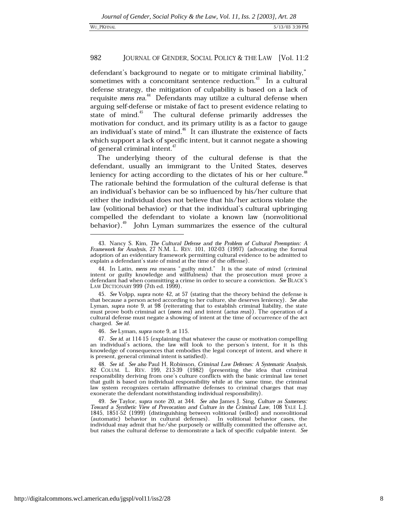defendant's background to negate or to mitigate criminal liability," sometimes with a concomitant sentence reduction.<sup>43</sup> In a cultural defense strategy, the mitigation of culpability is based on a lack of requisite mens rea.<sup>44</sup> Defendants may utilize a cultural defense when arguing self-defense or mistake of fact to present evidence relating to state of mind.<sup>45</sup> The cultural defense primarily addresses the motivation for conduct, and its primary utility is as a factor to gauge an individual's state of mind.<sup>46</sup> It can illustrate the existence of facts which support a lack of specific intent, but it cannot negate a showing of general criminal intent.<sup>47</sup>

The underlying theory of the cultural defense is that the defendant, usually an immigrant to the United States, deserves leniency for acting according to the dictates of his or her culture.<sup>48</sup> The rationale behind the formulation of the cultural defense is that an individual's behavior can be so influenced by his/her culture that either the individual does not believe that his/her actions violate the law (volitional behavior) or that the individual's cultural upbringing compelled the defendant to violate a known law (nonvolitional behavior).<sup>49</sup> John Lyman summarizes the essence of the cultural

<sup>43.</sup> Nancy S. Kim, The Cultural Defense and the Problem of Cultural Preemption: A Framework for Analysis, 27 N.M. L. REV. 101, 102-03 (1997) (advocating the formal adoption of an evidentiary framework permitting cultural evidence to be admitted to explain a defendant's state of mind at the time of the offense).

<sup>44.</sup> In Latin, mens rea means "guilty mind." It is the state of mind (criminal intent or guilty knowledge and willfulness) that the prosecution must prove a defendant had when committing a crime in order to secure a conviction. See BLACK'S LAW DICTIONARY 999 (7th ed. 1999).

<sup>45.</sup> See Volpp, supra note 42, at 57 (stating that the theory behind the defense is that because a person acted according to her culture, she deserves leniency). See also Lyman, supra note 9, at 98 (reiterating that to establish criminal liability, the state must prove both criminal act (mens rea) and intent (actus reus)). The operation of a cultural defense must negate a showing of intent at the time of occurrence of the act charged. See id.

<sup>46.</sup> See Lyman, supra note 9, at 115.

<sup>47.</sup> See id. at 114-15 (explaining that whatever the cause or motivation compelling an individual's actions, the law will look to the person's intent, for it is this knowledge of consequences that embodies the legal concept of intent, and where it is present, general criminal intent is satisfied).

<sup>48.</sup> See id. See also Paul H. Robinson, Criminal Law Defenses: A Systematic Analysis, 82 COLUM. L. REV. 199, 213-39 (1982) (presenting the idea that criminal responsibility deriving from one's culture conflicts with the basic criminal law tenet that guilt is based on individual responsibility while at the same time, the criminal law system recognizes certain affirmative defenses to criminal charges that may exonerate the defendant notwithstanding individual responsibility).

<sup>49.</sup> See Taylor, supra note 20, at 344. See also James J. Sing, Culture as Sameness: Toward a Synthetic View of Provocation and Culture in the Criminal Law, 108 YALE L.J. 1845, 1851-52 (1999) (distinguishing between volitional (willed) and nonvolitional (automatic) behavior in cultural defenses). In volitional behavior cases, the individual may admit that he/she purposely or willfully committed the offensive act, but raises the cultural defense to demonstrate a lack of specific culpable intent. See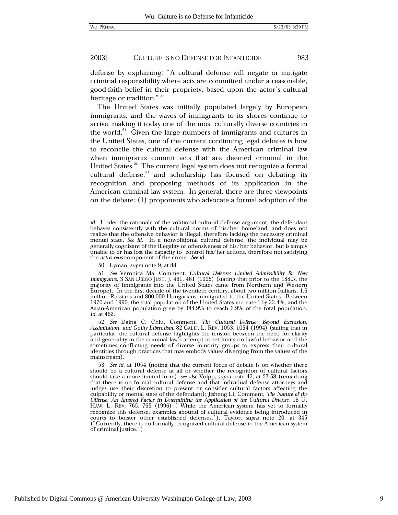983

#### 2003] CULTURE IS NO DEFENSE FOR INFANTICIDE

defense by explaining: "A cultural defense will negate or mitigate criminal responsibility where acts are committed under a reasonable, good-faith belief in their propriety, based upon the actor's cultural heritage or tradition." 50

The United States was initially populated largely by European immigrants, and the waves of immigrants to its shores continue to arrive, making it today one of the most culturally diverse countries in the world.<sup>51</sup> Given the large numbers of immigrants and cultures in the United States, one of the current continuing legal debates is how to reconcile the cultural defense with the American criminal law when immigrants commit acts that are deemed criminal in the United States.<sup>52</sup> The current legal system does not recognize a formal cultural defense,  $33$  and scholarship has focused on debating its recognition and proposing methods of its application in the American criminal law system. In general, there are three viewpoints on the debate: (1) proponents who advocate a formal adoption of the

*id.* Under the rationale of the volitional cultural defense argument, the defendant behaves consistently with the cultural norms of his/her homeland, and does not realize that the offensive behavior is illegal, therefore lacking the necessary criminal mental state. See id. In a nonvolitional cultural defense, the individual may be generally cognizant of the illegality or offensiveness of his/her behavior, but is simply unable to or has lost the capacity to control his/her actions, therefore not satisfying the actus reus component of the crime. See id.

<sup>50.</sup> Lyman, *supra* note 9, at 88.

<sup>51.</sup> See Veronica Ma, Comment, Cultural Defense: Limited Admissibility for New Immigrants, 3 SAN DIEGO JUST. J. 461, 461 (1995) (stating that prior to the 1880s, the majority of immigrants into the United States came from Northern and Western Europe). In the first decade of the twentieth century, about two million Italians, 1.6 million Russians and 800,000 Hungarians immigrated to the United States. Between 1970 and 1990, the total population of the United States increased by 22.4%, and the Asian-American population grew by 384.9% to reach 2.9% of the total population. Id. at 462.

<sup>52.</sup> See Daina C. Chiu, Comment, The Cultural Defense: Beyond Exclusion, Assimilation, and Guilty Liberalism, 82 CALIF. L. REV. 1053, 1054 (1994) (stating that in particular, the cultural defense highlights the tension between the need for clarity and generality in the criminal law's attempt to set limits on lawful behavior and the sometimes conflicting needs of diverse minority groups to express their cultural identities through practices that may embody values diverging from the values of the mainstream).

<sup>53.</sup> See id. at 1054 (noting that the current focus of debate is on whether there should be a cultural defense at all or whether the recognition of cultural factors should take a more limited form); see also Volpp, supra note 42, at 57-58 (remarking that there is no formal cultural defense and that individual defense attorneys and judges use their discretion to present or consider cultural factors affecting the culpability or mental state of the defendant); Jisheng Li, Comment, The Nature of the Offense: An Ignored Factor in Determining the Application of the Cultural Defense, 18 U. HAW. L. REV. 765, 765 (1996) ("While the American system has yet to formally recognize this defense, examples abound of cultural evidence being introduced in courts to bolster other established defenses."); Taylor, supra note 20, at 345 ("Currently, there is no formally recognized cultural defense in the American system of criminal justice.").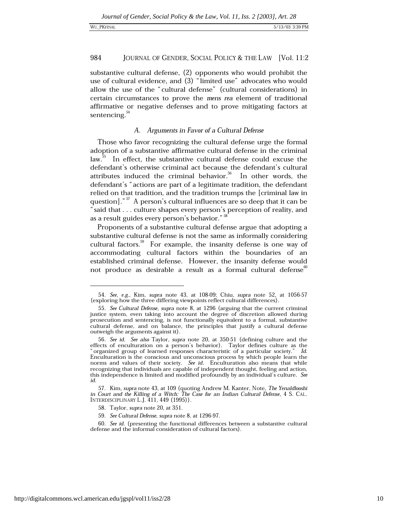### WU\_PKFINAL

### 984 JOURNAL OF GENDER, SOCIAL POLICY & THE LAW [Vol. 11:2

substantive cultural defense, (2) opponents who would prohibit the use of cultural evidence, and (3) "limited use" advocates who would allow the use of the "cultural defense" (cultural considerations) in certain circumstances to prove the mens rea element of traditional affirmative or negative defenses and to prove mitigating factors at sentencing. $54$ 

# A. Arguments in Favor of a Cultural Defense

Those who favor recognizing the cultural defense urge the formal adoption of a substantive affirmative cultural defense in the criminal law.<sup>55</sup> In effect, the substantive cultural defense could excuse the defendant's otherwise criminal act because the defendant's cultural attributes induced the criminal behavior.<sup>56</sup> In other words, the defendant's "actions are part of a legitimate tradition, the defendant relied on that tradition, and the tradition trumps the [criminal law in question]."<sup>57</sup> A person's cultural influences are so deep that it can be "said that . . . culture shapes every person's perception of reality, and as a result guides every person's behavior."<sup>58</sup>

Proponents of a substantive cultural defense argue that adopting a substantive cultural defense is not the same as informally considering cultural factors.<sup>59</sup> For example, the insanity defense is one way of accommodating cultural factors within the boundaries of an established criminal defense. However, the insanity defense would not produce as desirable a result as a formal cultural defense<sup>®</sup>

<sup>54.</sup> See, e.g., Kim, supra note 43, at 108-09; Chiu, supra note 52, at 1056-57 (exploring how the three differing viewpoints reflect cultural differences).

<sup>55.</sup> See Cultural Defense, supra note 8, at 1296 (arguing that the current criminal justice system, even taking into account the degree of discretion allowed during prosecution and sentencing, is not functionally equivalent to a formal, substantive cultural defense, and on balance, the principles that justify a cultural defense outweigh the arguments against it).

<sup>56.</sup> See id. See also Taylor, supra note 20, at 350-51 (defining culture and the effects of enculturation on a person's behavior). Taylor defines culture as the "organized group of learned responses characteristic of a particular society." Id. Enculturation is the conscious and unconscious process by which people learn the norms and values of their society. See id. Enculturation also means that while recognizing that individuals are capable of independent thought, feeling and action, this independence is limited and modified profoundly by an individual's culture. See id.

<sup>57.</sup> Kim, supra note 43, at 109 (quoting Andrew M. Kanter, Note, The Yenaldlooshi in Court and the Killing of a Witch: The Case for an Indian Cultural Defense, 4 S. CAL. INTERDISCIPLINARY L.J. 411, 449 (1995)).

<sup>58.</sup> Taylor, supra note 20, at 351.

<sup>59.</sup> See Cultural Defense, supra note 8, at 1296-97.

<sup>60.</sup> See id. (presenting the functional differences between a substantive cultural defense and the informal consideration of cultural factors).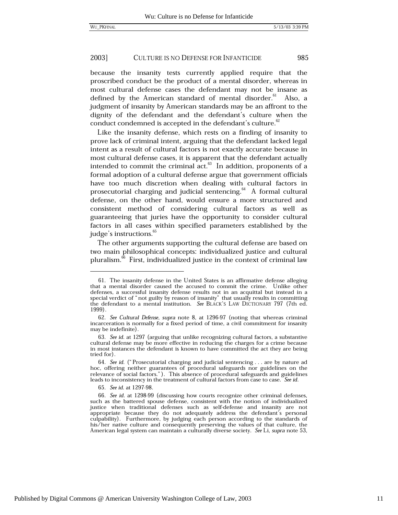because the insanity tests currently applied require that the proscribed conduct be the product of a mental disorder, whereas in most cultural defense cases the defendant may not be insane as defined by the American standard of mental disorder.<sup>61</sup> Also, a judgment of insanity by American standards may be an affront to the dignity of the defendant and the defendant's culture when the conduct condemned is accepted in the defendant's culture.<sup>82</sup>

Like the insanity defense, which rests on a finding of insanity to prove lack of criminal intent, arguing that the defendant lacked legal intent as a result of cultural factors is not exactly accurate because in most cultural defense cases, it is apparent that the defendant actually intended to commit the criminal  $act.^{63}$  In addition, proponents of a formal adoption of a cultural defense argue that government officials have too much discretion when dealing with cultural factors in prosecutorial charging and judicial sentencing. $^{64}$  A formal cultural defense, on the other hand, would ensure a more structured and consistent method of considering cultural factors as well as guaranteeing that juries have the opportunity to consider cultural factors in all cases within specified parameters established by the judge's instructions.<sup>65</sup>

The other arguments supporting the cultural defense are based on two main philosophical concepts: individualized justice and cultural pluralism.<sup>66</sup> First, individualized justice in the context of criminal law

65. See id. at 1297-98

<sup>61.</sup> The insanity defense in the United States is an affirmative defense alleging that a mental disorder caused the accused to commit the crime. Unlike other defenses, a successful insanity defense results not in an acquittal but instead in a special verdict of " not guilty by reason of insanity" that usually results in committing the defendant to a mental institution. See BLAC 1999).

<sup>62.</sup> See Cultural Defense, supra note 8, at 1296-97 (noting that whereas criminal incarceration is normally for a fixed period of time, a civil commitment for insanity may be indefinite).

<sup>63.</sup> See id. at 1297 (arguing that unlike recognizing cultural factors, a substantive cultural defense may be more effective in reducing the charges for a crime because in most instances the defendant is known to have committed the act they are being tried for).

<sup>64.</sup> See id. ("Prosecutorial charging and judicial sentencing . . . are by nature ad hoc, offering neither guarantees of procedural safeguards nor guidelines on the relevance of social factors."). This absence of procedural safeguards and guidelines leads to inconsistency in the treatment of cultural factors from case to case. See id.

<sup>66.</sup> See id. at 1298-99 (discussing how courts recognize other criminal defenses, such as the battered spouse defense, consistent with the notion of individualized justice when traditional defenses such as self-defense and insanity are not appropriate because they do not adequately address the defendant's personal culpability). Furthermore, by judging each person according to the standards of his/her native culture and consequently preserving the values of that culture, the American legal system can maintain a culturally diverse society. See Li, supra note 53,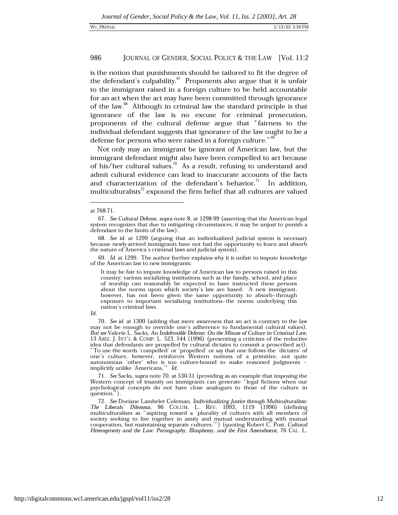is the notion that punishments should be tailored to fit the degree of the defendant's culpability.<sup>67</sup> Proponents also argue that it is unfair to the immigrant raised in a foreign culture to be held accountable for an act when the act may have been committed through ignorance of the law.<sup>68</sup> Although in criminal law the standard principle is that ignorance of the law is no excuse for criminal prosecution, proponents of the cultural defense argue that "fairness to the individual defendant suggests that ignorance of the law ought to be a defense for persons who were raised in a foreign culture."<sup>69</sup>

Not only may an immigrant be ignorant of American law, but the immigrant defendant might also have been compelled to act because of his/her cultural values.<sup>70</sup> As a result, refusing to understand and admit cultural evidence can lead to inaccurate accounts of the facts and characterization of the defendant's behavior.<sup>71</sup> In addition, multiculturalists<sup>72</sup> expound the firm belief that all cultures are valued

It may be fair to impute knowledge of American law to persons raised in this country: various socializing institutions such as the family, school, and place of worship can reasonably be expected to have instructed these persons about the norms upon which society's law are based. A new immigrant, however, has not been given the same opportunity to absorb-through exposure to important socializing institutions-the norms underlying this nation's criminal laws.

70. See id. at 1300 (adding that mere awareness that an act is contrary to the law may not be enough to override one's adherence to fundamental cultural values). But see Valerie L. Sacks, An Indefensible Defense: On the Misuse of Culture in Criminal Law, 13 ARIZ. J. INT'L & COMP. L. 523, 544 (1996) (presenting a criticism of the reductive idea that defendants are propelled by cultural dictates to commit a proscribed act). "To use the words 'compelled' or 'propelled' or say that one follows the 'dictates' of one's culture, however, reinforces Western notions of a primitive, not quite autonomous 'other' who is too culture-bound to make reasoned judgments - implicitly unlike 'Americans.'"  $Id$ .

71. See Sacks, supra note 70, at 530-31 (providing as an example that imposing the Western concept of insanity on immigrants can generate "legal fictions when our psychological concepts do not have close analogues to those of the culture in question.").

72. See Doriane Lambelet Coleman, Individualizing Justice through Multiculturalism: The Liberals' Dilemma, 96 COLUM. L. REV. 1093, 1119 (1996) (defining multiculturalism as "aspiring toward a 'plurality of cultures with all members of society seeking to live together in amity and mutual understanding with mutual cooperation, but maintaining separate cultures.") (quoting Robert C. Post, Cultural Heterogeneity and the Law: Pornography, Blasphemy, and the First Amendment, 76 CAL. L.

at 768-71.

<sup>67.</sup> See Cultural Defense, supra note 8, at 1298-99 (asserting that the American legal system recognizes that due to mitigating circumstances, it may be unjust to punish a defendant to the limits of the law).

<sup>68.</sup> See id. at 1299 (arguing that an individualized judicial system is necessary because newly-arrived immigrants have not had the opportunity to learn and absorb the nature of America's criminal laws and judicial system).

<sup>69.</sup> Id. at 1299. The author further explains why it is unfair to impute knowledge of the American law to new immigrants:

 $Id$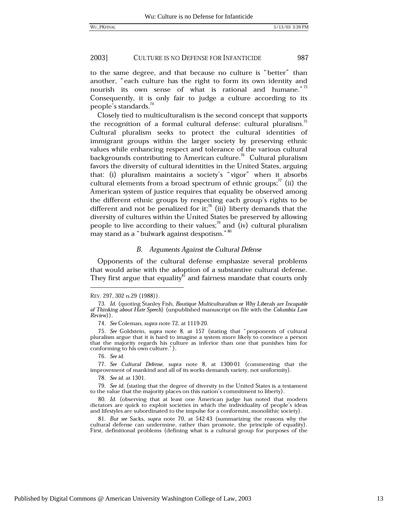to the same degree, and that because no culture is "better" than another, "each culture has the right to form its own identity and nourish its own sense of what is rational and humane."<sup>73</sup> Consequently, it is only fair to judge a culture according to its people's standards.<sup>74</sup>

Closely tied to multiculturalism is the second concept that supports the recognition of a formal cultural defense: cultural pluralism.<sup>15</sup> Cultural pluralism seeks to protect the cultural identities of immigrant groups within the larger society by preserving ethnic values while enhancing respect and tolerance of the various cultural backgrounds contributing to American culture.<sup>76</sup> Cultural pluralism favors the diversity of cultural identities in the United States, arguing that: (i) pluralism maintains a society's "vigor" when it absorbs cultural elements from a broad spectrum of ethnic groups; $^{77}$  (ii) the American system of justice requires that equality be observed among the different ethnic groups by respecting each group's rights to be different and not be penalized for it;<sup>78</sup> (iii) liberty demands that the diversity of cultures within the United States be preserved by allowing people to live according to their values;<sup>79</sup> and (iv) cultural pluralism may stand as a "bulwark against despotism."<sup>80</sup>

# B. Arguments Against the Cultural Defense

Opponents of the cultural defense emphasize several problems that would arise with the adoption of a substantive cultural defense. They first argue that equality<sup>81</sup> and fairness mandate that courts only

78. See id. at 1301.

REV. 297, 302 n.29 (1988)).

<sup>73.</sup> Id. (quoting Stanley Fish, Boutique Multiculturalism or Why Liberals are Incapable of Thinking about Hate Speech) (unpublished manuscript on file with the Columbia Law Review)).

<sup>74.</sup> See Coleman, supra note 72, at 1119-20.

<sup>75.</sup> See Goldstein, supra note 8, at 157 (stating that "proponents of cultural pluralism argue that it is hard to imagine a system more likely to convince a person that the majority regards his culture as inferior than one that punishes him for conforming to his own culture.").

<sup>76.</sup> See id.

<sup>77.</sup> See Cultural Defense, supra note 8, at 1300-01 (commenting that the improvement of mankind and all of its works demands variety, not uniformity).

<sup>79.</sup> See id. (stating that the degree of diversity in the United States is a testament to the value that the majority places on this nation's commitment to liberty).

<sup>80.</sup> Id. (observing that at least one American judge has noted that modern dictators are quick to exploit societies in which the individuality of people's ideas and lifestyles are subordinated to the impulse for a conformist, monolithic society).

<sup>81.</sup> But see Sacks, supra note 70, at 542-43 (summarizing the reasons why the cultural defense can undermine, rather than promote, the principle of equality). First, definitional problems (defining what is a cultural group for purposes of the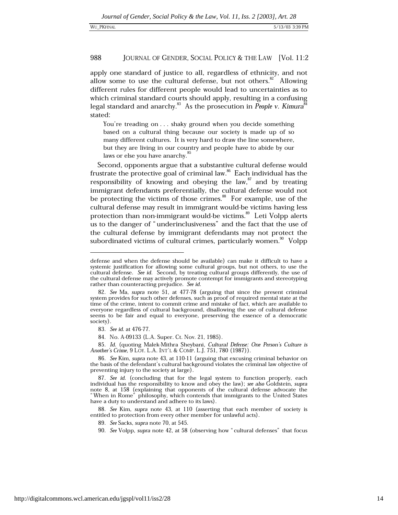apply one standard of justice to all, regardless of ethnicity, and not allow some to use the cultural defense, but not others.<sup>82</sup> Allowing different rules for different people would lead to uncertainties as to which criminal standard courts should apply, resulting in a confusing legal standard and anarchy.<sup>83</sup> As the prosecution in People v. Kimura<sup>8</sup> stated:

You're treading on . . . shaky ground when you decide something based on a cultural thing because our society is made up of so many different cultures. It is very hard to draw the line somewhere, but they are living in our country and people have to abide by our laws or else you have anarchy.<sup>85</sup>

Second, opponents argue that a substantive cultural defense would frustrate the protective goal of criminal law.<sup>86</sup> Each individual has the responsibility of knowing and obeying the law,<sup>87</sup> and by treating immigrant defendants preferentially, the cultural defense would not be protecting the victims of those crimes. $88$  For example, use of the cultural defense may result in immigrant would-be victims having less protection than non-immigrant would-be victims.<sup>89</sup> Let Volpp alerts us to the danger of "underinclusiveness" and the fact that the use of the cultural defense by immigrant defendants may not protect the subordinated victims of cultural crimes, particularly women.<sup>90</sup> Volpp

85. Id. (quoting Malek-Mithra Sheybani, Cultural Defense: One Person's Culture is Another's Crime, 9 LOY. L.A. INT'L & COMP. L.J. 751, 780 (1987)).

88. See Kim, supra note 43, at 110 (asserting that each member of society is entitled to protection from every other member for unlawful acts).

defense and when the defense should be available) can make it difficult to have a systemic justification for allowing some cultural groups, but not others, to use the cultural defense. See id. Second, by treating cultural groups differently, the use of the cultural defense may actively promote contempt for immigrants and stereotyping rather than counteracting prejudice. See id.

<sup>82.</sup> See Ma, supra note 51, at 477-78 (arguing that since the present criminal system provides for such other defenses, such as proof of required mental state at the time of the crime, intent to commit crime and mistake of fact, which are available to everyone regardless of cultural background, disallowing the use of cultural defense seems to be fair and equal to everyone, preserving the essence of a democratic society).

<sup>83.</sup> See id. at 476-77.

<sup>84.</sup> No. A-09133 (L.A. Super. Ct. Nov. 21, 1985).

<sup>86.</sup> See Kim, supra note 43, at 110-11 (arguing that excusing criminal behavior on the basis of the defendant's cultural background violates the criminal law objective of preventing injury to the society at large).

<sup>87.</sup> See id. (concluding that for the legal system to function properly, each individual has the responsibility to know and obey the law); see also Goldstein, supra note 8, at 158 (explaining that opponents of the cultural defense advocate the "When in Rome" philosophy, which contends that immigrants to the United States have a duty to understand and adhere to its laws).

<sup>89.</sup> See Sacks, supra note 70, at 545.

<sup>90.</sup> See Volpp, supra note 42, at 58 (observing how "cultural defenses" that focus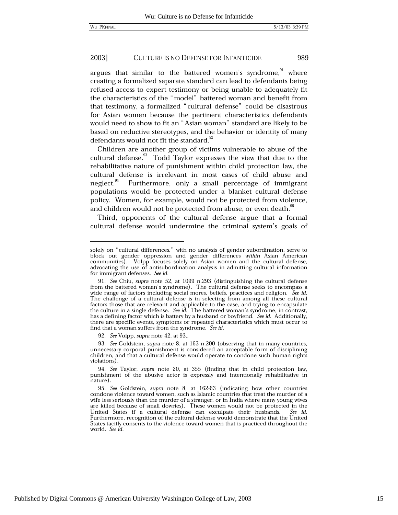argues that similar to the battered women's syndrome, where creating a formalized separate standard can lead to defendants being refused access to expert testimony or being unable to adequately fit the characteristics of the "model" battered woman and benefit from that testimony, a formalized "cultural defense" could be disastrous for Asian women because the pertinent characteristics defendants would need to show to fit an "Asian woman" standard are likely to be based on reductive stereotypes, and the behavior or identity of many defendants would not fit the standard.<sup>92</sup>

Children are another group of victims vulnerable to abuse of the cultural defense.<sup>33</sup> Todd Taylor expresses the view that due to the rehabilitative nature of punishment within child protection law, the cultural defense is irrelevant in most cases of child abuse and neglect.<sup>94</sup> Furthermore, only a small percentage of immigrant populations would be protected under a blanket cultural defense policy. Women, for example, would not be protected from violence, and children would not be protected from abuse, or even death.<sup>95</sup>

Third, opponents of the cultural defense argue that a formal cultural defense would undermine the criminal system's goals of

92. See Volpp, supra note 42, at 93..

solely on "cultural differences," with no analysis of gender subordination, serve to block out gender oppression and gender differences within Asian American communities). Volpp focuses solely on Asian women and the cultural defense, advocating the use of antisubordination analysis in admitting cultural information for immigrant defenses. See id.

<sup>91.</sup> See Chiu, supra note 52, at 1099 n.293 (distinguishing the cultural defense from the battered woman's syndrome). The cultural defense seeks to encompass a wide range of factors including social mores, beliefs, practices and religion. See id. The challenge of a cultural defense is in selecting from among all these cultural factors those that are relevant and applicable to the case, and trying to encapsulate the culture in a single defense. See  $id$ . The battered woman's syndrome, in contrast, has a defining factor which is battery by a husband or boyfriend. See id. Additionally, there are specific events, symptoms or repeated characteristics which must occur to find that a woman suffers from the syndrome. See id.

<sup>93.</sup> See Goldstein, supra note 8, at 163 n.200 (observing that in many countries, unnecessary corporal punishment is considered an acceptable form of disciplining children, and that a cultural defense would operate to condone such human rights violations).

<sup>94.</sup> See Taylor, supra note 20, at 355 (finding that in child protection law, punishment of the abusive actor is expressly and intentionally rehabilitative in nature).

<sup>95.</sup> See Goldstein, supra note 8, at 162-63 (indicating how other countries condone violence toward women, such as Islamic countries that treat the murder of a wife less seriously than the murder of a stranger, or in India where many young wives are killed because of small dowries). These women would not be protected in the United States if a cultural defense can exculpate their husbands. See id. Furthermore, recognition of the cultural defense would demonstrate that the United States tacitly consents to the violence toward women that is practiced throughout the world. See id.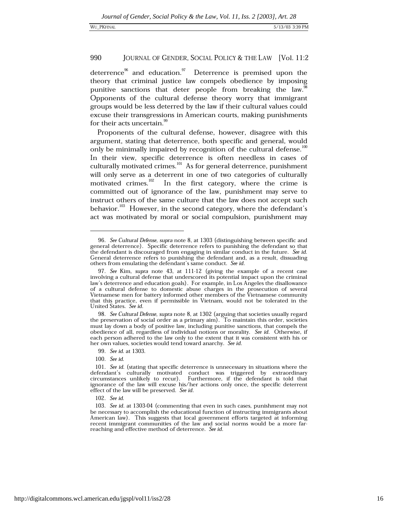deterrence<sup>96</sup> and education.<sup>97</sup> Deterrence is premised upon the theory that criminal justice law compels obedience by imposing punitive sanctions that deter people from breaking the law. Opponents of the cultural defense theory worry that immigrant groups would be less deterred by the law if their cultural values could excuse their transgressions in American courts, making punishments for their acts uncertain.<sup>96</sup>

Proponents of the cultural defense, however, disagree with this argument, stating that deterrence, both specific and general, would only be minimally impaired by recognition of the cultural defense.<sup>100</sup> In their view, specific deterrence is often needless in cases of culturally motivated crimes.<sup>101</sup> As for general deterrence, punishment will only serve as a deterrent in one of two categories of culturally motivated crimes.<sup>102</sup> In the first category, where the crime is committed out of ignorance of the law, punishment may serve to instruct others of the same culture that the law does not accept such behavior.<sup>103</sup> However, in the second category, where the defendant's act was motivated by moral or social compulsion, punishment may

<sup>96.</sup> See Cultural Defense, supra note 8, at 1303 (distinguishing between specific and general deterrence). Specific deterrence refers to punishing the defendant so that the defendant is discouraged from engaging in similar conduct in the future. See id. General deterrence refers to punishing the defendant and, as a result, dissuading others from emulating the defendant's same conduct. See id.

<sup>97.</sup> See Kim, supra note 43, at 111-12 (giving the example of a recent case involving a cultural defense that underscored its potential impact upon the criminal law's deterrence and education goals). For example, in Los Angeles the disallowance of a cultural defense to domestic abuse charges in the prosecution of several<br>Vietnamese men for battery informed other members of the Vietnamese community that this practice, even if permissible in Vietnam, would not be tolerated in the United States. See id.

<sup>98.</sup> See Cultural Defense, supra note 8, at 1302 (arguing that societies usually regard the preservation of social order as a primary aim). To maintain this order, societies must lay down a body of positive law, including punitive sanctions, that compels the obedience of all, regardless of individual notions or morality. See id. Otherwise, if each person adhered to the law only to the extent that it was consistent with his or her own values, societies would tend toward anarchy. See id.

<sup>99.</sup> See id. at 1303.

<sup>100.</sup> See id.

<sup>101.</sup> See id. (stating that specific deterrence is unnecessary in situations where the defendant's culturally motivated conduct was triggered by extraordinary circumstances unlikely to recur). Furthermore, if the defendant is told that ignorance of the law will excuse his/her actions only once, the specific deterrent effect of the law will be preserved. See id.

<sup>102.</sup> See id.

<sup>103.</sup> See id. at 1303-04 (commenting that even in such cases, punishment may not be necessary to accomplish the educational function of instructing immigrants about American law). This suggests that local government efforts targeted at informing recent immigrant communities of the law and social norms would be a more farreaching and effective method of deterrence. See id.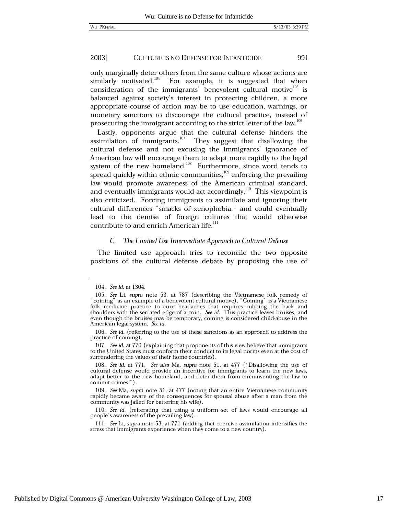only marginally deter others from the same culture whose actions are similarly motivated.<sup>104</sup> For example, it is suggested that when consideration of the immigrants' benevolent cultural motive<sup>105</sup> is balanced against society's interest in protecting children, a more appropriate course of action may be to use education, warnings, or monetary sanctions to discourage the cultural practice, instead of prosecuting the immigrant according to the strict letter of the law.<sup>106</sup>

Lastly, opponents argue that the cultural defense hinders the assimilation of immigrants. $^{107}$  They suggest that disallowing the cultural defense and not excusing the immigrants' ignorance of American law will encourage them to adapt more rapidly to the legal system of the new homeland.<sup>108</sup> Furthermore, since word tends to spread quickly within ethnic communities,<sup>109</sup> enforcing the prevailing law would promote awareness of the American criminal standard, and eventually immigrants would act accordingly.<sup>110</sup> This viewpoint is also criticized. Forcing immigrants to assimilate and ignoring their cultural differences "smacks of xenophobia," and could eventually lead to the demise of foreign cultures that would otherwise contribute to and enrich American life.<sup>111</sup>

# C. The Limited Use Intermediate Approach to Cultural Defense

The limited use approach tries to reconcile the two opposite positions of the cultural defense debate by proposing the use of

<sup>104.</sup> See id. at 1304.

<sup>105.</sup> See Li, supra note 53, at 787 (describing the Vietnamese folk remedy of "coining" as an example of a benevolent cultural motive). "Coining" is a Vietnamese folk medicine practice to cure headaches that requires rubbing the back and shoulders with the serrated edge of a coin. See id. This practice leaves bruises, and even though the bruises may be temporary, coining is considered child-abuse in the American legal system. See id.

<sup>106.</sup> See id. (referring to the use of these sanctions as an approach to address the practice of coining).

<sup>107.</sup> See id. at 770 (explaining that proponents of this view believe that immigrants to the United States must conform their conduct to its legal norms even at the cost of surrendering the values of their home countries).

<sup>108.</sup> See id. at 771. See also Ma, supra note 51, at 477 ("Disallowing the use of cultural defense would provide an incentive for immigrants to learn the new laws. adapt better to the new homeland, and deter them from circumventing the law to commit crimes.").

<sup>109.</sup> See Ma, supra note 51, at 477 (noting that an entire Vietnamese community rapidly became aware of the consequences for spousal abuse after a man from the community was jailed for battering his wife).

<sup>110.</sup> See id. (reiterating that using a uniform set of laws would encourage all people's awareness of the prevailing law).

<sup>111.</sup> See Li, supra note 53, at 771 (adding that coercive assimilation intensifies the stress that immigrants experience when they come to a new country).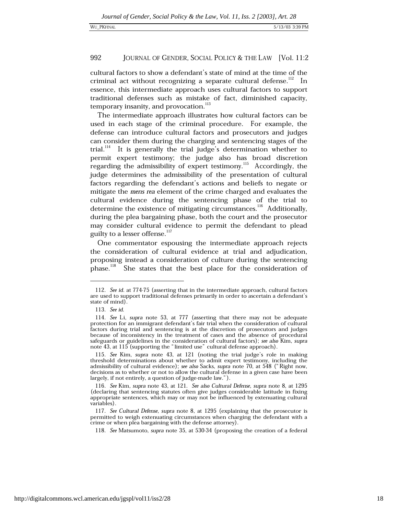cultural factors to show a defendant's state of mind at the time of the criminal act without recognizing a separate cultural defense.<sup>112</sup> In essence, this intermediate approach uses cultural factors to support traditional defenses such as mistake of fact, diminished capacity, temporary insanity, and provocation.<sup>113</sup>

The intermediate approach illustrates how cultural factors can be used in each stage of the criminal procedure. For example, the defense can introduce cultural factors and prosecutors and judges can consider them during the charging and sentencing stages of the It is generally the trial judge's determination whether to  $trial.$ <sup> $114$ </sup> permit expert testimony; the judge also has broad discretion regarding the admissibility of expert testimony.<sup>115</sup> Accordingly, the judge determines the admissibility of the presentation of cultural factors regarding the defendant's actions and beliefs to negate or mitigate the mens rea element of the crime charged and evaluates the cultural evidence during the sentencing phase of the trial to determine the existence of mitigating circumstances.<sup>116</sup> Additionally, during the plea bargaining phase, both the court and the prosecutor may consider cultural evidence to permit the defendant to plead guilty to a lesser offense.<sup>117</sup>

One commentator espousing the intermediate approach rejects the consideration of cultural evidence at trial and adjudication, proposing instead a consideration of culture during the sentencing phase.<sup>118</sup> She states that the best place for the consideration of

<sup>112.</sup> See id. at 774-75 (asserting that in the intermediate approach, cultural factors are used to support traditional defenses primarily in order to ascertain a defendant's state of mind).

<sup>113.</sup> See id.

<sup>114.</sup> See Li, supra note 53, at 777 (asserting that there may not be adequate protection for an immigrant defendant's fair trial when the consideration of cultural factors during trial and sentencing is at the discretion of prosecutors and judges because of inconsistency in the treatment of cases and the absence of procedural safeguards or guidelines in the consideration of cultural factors); see also Kim, supra note 43, at 115 (supporting the "limited use" cultural defense approach).

<sup>115.</sup> See Kim, supra note 43, at 121 (noting the trial judge's role in making threshold determinations about whether to admit expert testimony, including the admissibility of cultural evidence); see also Sacks, supra note 70, at 548 ("Right now, decisions as to whether or not to allow the cultural defense in a given case have been largely, if not entirely, a question of judge-made law.").

<sup>116.</sup> See Kim, supra note 43, at 121. See also Cultural Defense, supra note 8, at 1295 (declaring that sentencing statutes often give judges considerable latitude in fixing appropriate sentences, which may or may not be influenced by extenuating cultural variables).

<sup>117.</sup> See Cultural Defense, supra note 8, at 1295 (explaining that the prosecutor is permitted to weigh extenuating circumstances when charging the defendant with a crime or when plea bargaining with the defense attorney).

<sup>118.</sup> See Matsumoto, supra note 35, at 530-34 (proposing the creation of a federal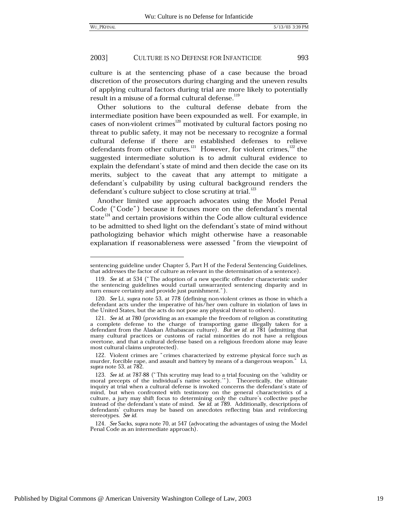993

#### 2003] CULTURE IS NO DEFENSE FOR INFANTICIDE

culture is at the sentencing phase of a case because the broad discretion of the prosecutors during charging and the uneven results of applying cultural factors during trial are more likely to potentially result in a misuse of a formal cultural defense.<sup>119</sup>

Other solutions to the cultural defense debate from the intermediate position have been expounded as well. For example, in cases of non-violent crimes<sup>120</sup> motivated by cultural factors posing no threat to public safety, it may not be necessary to recognize a formal cultural defense if there are established defenses to relieve defendants from other cultures.<sup>121</sup> However, for violent crimes, $122$  the suggested intermediate solution is to admit cultural evidence to explain the defendant's state of mind and then decide the case on its merits, subject to the caveat that any attempt to mitigate a defendant's culpability by using cultural background renders the defendant's culture subject to close scrutiny at trial.<sup>123</sup>

Another limited use approach advocates using the Model Penal Code ("Code") because it focuses more on the defendant's mental state<sup>124</sup> and certain provisions within the Code allow cultural evidence to be admitted to shed light on the defendant's state of mind without pathologizing behavior which might otherwise have a reasonable explanation if reasonableness were assessed "from the viewpoint of

124. See Sacks, supra note 70, at 547 (advocating the advantages of using the Model Penal Code as an intermediate approach).

sentencing guideline under Chapter 5, Part H of the Federal Sentencing Guidelines, that addresses the factor of culture as relevant in the determination of a sentence).

<sup>119.</sup> See id. at 534 ("The adoption of a new specific offender characteristic under the sentencing guidelines would curtail unwarranted sentencing disparity and in turn ensure certainty and provide just punishment.").

<sup>120.</sup> See Li, supra note 53, at 778 (defining non-violent crimes as those in which a defendant acts under the imperative of his/her own culture in violation of laws in the United States, but the acts do not pose any physical threat to others).

<sup>121.</sup> See id. at 780 (providing as an example the freedom of religion as constituting a complete defense to the charge of transporting game illegally taken for a defendant from the Alaskan Athabascan culture). But see id. at 781 (admitting that many cultural practices or customs of racial minorities do not have a religious overtone, and that a cultural defense based on a religious freedom alone may leave most cultural claims unprotected).

<sup>122.</sup> Violent crimes are "crimes characterized by extreme physical force such as murder, forcible rape, and assault and battery by means of a dangerous weapon." Li, supra note 53, at 782.

<sup>123.</sup> See id. at 787-88 ("This scrutiny may lead to a trial focusing on the 'validity or moral precepts of the individual's native society."). Theoretically, the ultimate inquiry at trial when a cultural defense is invoked concerns the defendant's state of mind, but when confronted with testimony on the general characteristics of a culture, a jury may shift focus to determining only the culture's collective psyche instead of the defendant's state of mind. See id. at 789. Additionally, descriptions of defendants' cultures may be based on anecdotes reflecting bias and reinforcing stereotypes. See id.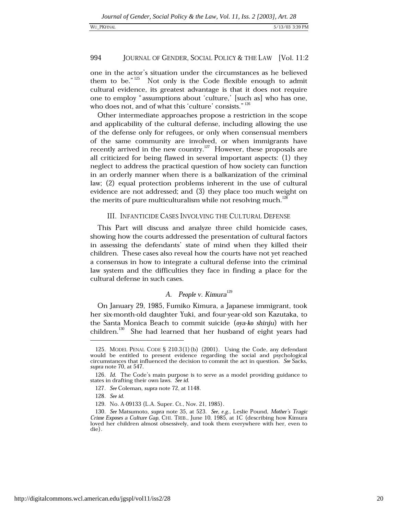### WU\_PKFINAL

994

one in the actor's situation under the circumstances as he believed them to be."<sup>125</sup> Not only is the Code flexible enough to admit cultural evidence, its greatest advantage is that it does not require one to employ "assumptions about 'culture,' [such as] who has one, who does not, and of what this 'culture' consists."<sup>126</sup>

Other intermediate approaches propose a restriction in the scope and applicability of the cultural defense, including allowing the use of the defense only for refugees, or only when consensual members of the same community are involved, or when immigrants have recently arrived in the new country.<sup>127</sup> However, these proposals are all criticized for being flawed in several important aspects: (1) they neglect to address the practical question of how society can function in an orderly manner when there is a balkanization of the criminal law; (2) equal protection problems inherent in the use of cultural evidence are not addressed; and (3) they place too much weight on the merits of pure multiculturalism while not resolving much.<sup>12</sup>

# III. INFANTICIDE CASES INVOLVING THE CULTURAL DEFENSE

This Part will discuss and analyze three child homicide cases, showing how the courts addressed the presentation of cultural factors in assessing the defendants' state of mind when they killed their children. These cases also reveal how the courts have not yet reached a consensus in how to integrate a cultural defense into the criminal law system and the difficulties they face in finding a place for the cultural defense in such cases.

# A. People v.  $Kimura<sup>129</sup>$

On January 29, 1985, Fumiko Kimura, a Japanese immigrant, took her six-month-old daughter Yuki, and four-year-old son Kazutaka, to the Santa Monica Beach to commit suicide (oya-ko shinju) with her children.<sup>130</sup> She had learned that her husband of eight years had

<sup>125.</sup> MODEL PENAL CODE § 210.3(1)(b) (2001). Using the Code, any defendant would be entitled to present evidence regarding the social and psychological circumstances that influenced the decision to commit the act in question. See Sacks, supra note 70, at 547.

<sup>126.</sup> Id. The Code's main purpose is to serve as a model providing guidance to states in drafting their own laws. See id.

<sup>127.</sup> See Coleman, supra note 72, at 1148.

<sup>128.</sup> See id.

<sup>129.</sup> No. A-09133 (L.A. Super. Ct., Nov. 21, 1985).

<sup>130.</sup> See Matsumoto, supra note 35, at 523. See, e.g., Leslie Pound, Mother's Tragic Crime Exposes a Culture Gap, CHI. TRIB., June 10, 1985, at 1C (describing how Kimura loved her children almost obsessively, and took them everywhere with her, even to die).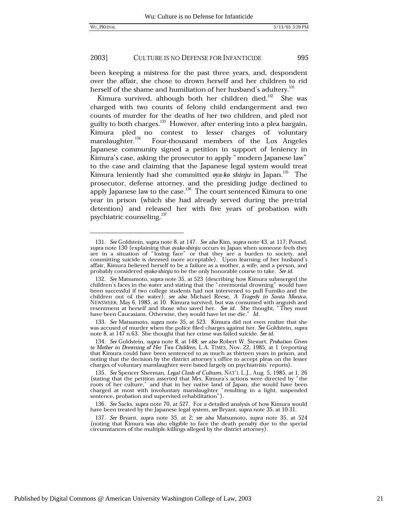995

#### 2003] CULTURE IS NO DEFENSE FOR INFANTICIDE

been keeping a mistress for the past three years, and, despondent over the affair, she chose to drown herself and her children to rid herself of the shame and humiliation of her husband's adultery.<sup>131</sup>

Kimura survived, although both her children died.<sup>132</sup> She was charged with two counts of felony child endangerment and two counts of murder for the deaths of her two children, and pled not guilty to both charges.<sup>133</sup> However, after entering into a plea bargain, Kimura pled no contest to lesser charges of voluntary  $\frac{1}{2}$ manslaughter.<sup>134</sup> Four-thousand members of the Los Angeles Japanese community signed a petition in support of leniency in Kimura's case, asking the prosecutor to apply "modern Japanese law" to the case and claiming that the Japanese legal system would treat Kimura leniently had she committed oya-ko shinju in Japan.<sup>135</sup> The prosecutor, defense attorney, and the presiding judge declined to apply Japanese law to the case.<sup>136</sup> The court sentenced Kimura to one year in prison (which she had already served during the pre-trial detention) and released her with five years of probation with psychiatric counseling.<sup>137</sup>

133. See Matsumoto, supra note 35, at 523. Kimura did not even realize that she was accused of murder when the police filed charges against her. See Goldstein, supra note 8, at 147 n.63. She thought that her crime was failed suicide. See id.

136. See Sacks, supra note 70, at 527. For a detailed analysis of how Kimura would have been treated by the Japanese legal system, see Bryant, supra note 35, at 10-31.

137. See Bryant, supra note 35, at 2; see also Matsumoto, supra note 35, at 524 (noting that Kimura was also eligible to face the death penalty due to the special circumstances of the multiple killings alleged by the district attorney).

<sup>131.</sup> See Goldstein, supra note 8, at 147. See also Kim, supra note 43, at 117; Pound, supra note 130 (explaining that oyako-shinju occurs in Japan when someone feels they are in a situation of "losing face" or that they are a burden to society, and<br>committing suicide is deemed more acceptable). Upon learning of her husband's affair, Kimura believed herself to be a failure as a mother, a wife, and a person, and probably considered oyako-shinju to be the only honorable course to take. See id.

<sup>132.</sup> See Matsumoto, supra note 35, at 523 (describing how Kimura submerged the children's faces in the water and stating that the "ceremonial drowning" would have<br>been successful if two college students had not intervened to pull Fumiko and the children out of the water); see also Michael Reese, A Tragedy in Santa Monica, NEWSWEEK, May 6, 1985, at 10. Kimura survived, but was consumed with anguish and resentment at herself and those who saved her. See id. She thought, "They must have been Caucasians. Otherwise, they would have let me die." Id.

<sup>134.</sup> See Goldstein, supra note 8, at 148; see also Robert W. Stewart, Probation Given to Mother in Drowning of Her Two Children, L.A. TIMES, Nov. 22, 1985, at 1 (reporting that Kimura could have been sentenced to as much as thirteen years in prison, and noting that the decision by the district attorney's office to accept pleas on the lesser charges of voluntary manslaughter were based largely on psychiatrists' reports).

<sup>135.</sup> See Spencer Sherman, Legal Clash of Cultures, NAT'L L.J., Aug. 5, 1985, at 1, 26 (stating that the petition asserted that Mrs. Kimura's actions were directed by "the roots of her culture," and that in her native land of Japan, she would have been charged at most with involuntary manslaughter "resulting in a light, suspended sentence, probation and supervised rehabilitation").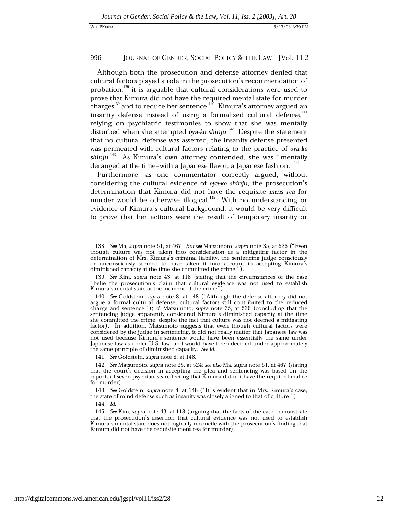Although both the prosecution and defense attorney denied that cultural factors played a role in the prosecution's recommendation of probation,<sup>138</sup> it is arguable that cultural considerations were used to prove that Kimura did not have the required mental state for murder charges<sup>139</sup> and to reduce her sentence.<sup>140</sup> Kimura's attorney argued an insanity defense instead of using a formalized cultural defense,<sup>141</sup> relying on psychiatric testimonies to show that she was mentally disturbed when she attempted oya-ko shinju.<sup>142</sup> Despite the statement that no cultural defense was asserted, the insanity defense presented was permeated with cultural factors relating to the practice of oya-ko shinju.<sup>143</sup> As Kimura's own attorney contended, she was "mentally deranged at the time-with a Japanese flavor, a Japanese fashion."<sup>144</sup>

Furthermore, as one commentator correctly argued, without considering the cultural evidence of *ova-ko shinju*, the prosecution's determination that Kimura did not have the requisite mens rea for murder would be otherwise illogical.<sup>145</sup> With no understanding or evidence of Kimura's cultural background, it would be very difficult to prove that her actions were the result of temporary insanity or

141. See Goldstein, supra note 8, at 148.

144. Id.

<sup>138.</sup> See Ma, supra note 51, at 467. But see Matsumoto, supra note 35, at 526 ("Even though culture was not taken into consideration as a mitigating factor in the determination of Mrs. Kimura's criminal liability, the sentencing judge consciously or unconsciously seemed to have taken it into account in accepting Kimura's diminished capacity at the time she committed the crime.").

<sup>139.</sup> See Kim, supra note 43, at 118 (stating that the circumstances of the case "belie the prosecution's claim that cultural evidence was not used to establish Kimura's mental state at the moment of the crime").

<sup>140.</sup> See Goldstein, supra note 8, at 148 ("Although the defense attorney did not argue a formal cultural defense, cultural factors still contributed to the reduced charge and sentence."); cf. Matsumoto, supra note 35, at 526 (concluding that the sentencing judge apparently considered Kimura's diminished capacity at the time she committed the crime, despite the fact that culture was not deemed a mitigating factor). In addition, Matsumoto suggests that even though cultural factors were considered by the judge in sentencing, it did not really matter that Japanese law was not used because Kimura's sentence would have been essentially the same under Japanese law as under U.S. law, and would have been decided under approximately the same principle of diminished capacity. See id.

<sup>142.</sup> See Matsumoto, supra note 35, at 524; see also Ma, supra note 51, at 467 (stating that the court's decision in accepting the plea and sentencing was based on the reports of seven psychiatrists reflecting that Kimura did not have the required malice for murder).

<sup>143.</sup> See Goldstein, supra note 8, at 148 ("It is evident that in Mrs. Kimura's case, the state of mind defense such as insanity was closely aligned to that of culture.").

<sup>145.</sup> See Kim, supra note 43, at 118 (arguing that the facts of the case demonstrate that the prosecution's assertion that cultural evidence was not used to establish Kimura's mental state does not logically reconcile with the prosecution's finding that Kimura did not have the requisite mens rea for murder).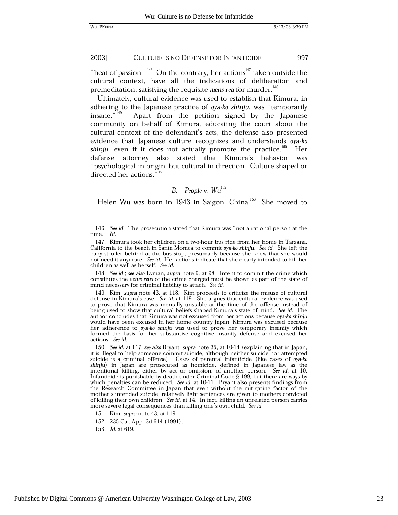" heat of passion."  $^{146}$  On the contrary, her actions<sup>147</sup> taken outside the cultural context, have all the indications of deliberation and premeditation, satisfying the requisite mens rea for murder.<sup>148</sup>

Ultimately, cultural evidence was used to establish that Kimura, in adhering to the Japanese practice of oya-ko shinju, was "temporarily insane."<sup>149</sup> Apart from the petition signed by the Japanese community on behalf of Kimura, educating the court about the cultural context of the defendant's acts, the defense also presented evidence that Japanese culture recognizes and understands oya-ko shinju, even if it does not actually promote the practice.<sup>150</sup> Her defense attorney also stated that Kimura's behavior was "psychological in origin, but cultural in direction. Culture shaped or directed her actions." 151

# B. People v. Wu<sup>152</sup>

Helen Wu was born in 1943 in Saigon, China.<sup>153</sup> She moved to

148. See id.; see also Lyman, supra note 9, at 98. Intent to commit the crime which constitutes the actus reus of the crime charged must be shown as part of the state of mind necessary for criminal liability to attach. See id.

<sup>146.</sup> See id. The prosecution stated that Kimura was "not a rational person at the time." Id.

<sup>147.</sup> Kimura took her children on a two-hour bus ride from her home in Tarzana, California to the beach in Santa Monica to commit oya-ko shinju. See id. She left the baby stroller behind at the bus stop, presumably because she knew that she would not need it anymore. See id. Her actions indicate that she clearly intended to kill her children as well as herself. See id.

<sup>149.</sup> Kim, *supra* note 43, at 118. Kim proceeds to criticize the misuse of cultural defense in Kimura's case. *See id.* at 119. She argues that cultural evidence was used to prove that Kimura was mentally unstable at the time of the offense instead of being used to show that cultural beliefs shaped Kimura's state of mind. See id. The author concludes that Kimura was not excused from her actions because ova-ko shinju would have been excused in her home country Japan; Kimura was excused because her adherence to oya-ko shinju was used to prove her temporary insanity which formed the basis for her substantive cognitive insanity defense and excused her actions. See id.

<sup>150.</sup> See id. at 117; see also Bryant, supra note 35, at 10-14 (explaining that in Japan, it is illegal to help someone commit suicide, although neither suicide nor attempted suicide is a criminal offense). Cases of parental infanticide (like cases of oya-ko shinju) in Japan are prosecuted as homicide, defined in Japanese law as the intentional killing, either by act or omission, of another person. See id. at 10.<br>Infanticide is punishable by death under Criminal Code § 199, but there are ways by which penalties can be reduced. See id. at 10-11. Bryant also presents findings from the Research Committee in Japan that even without the mitigating factor of the mother's intended suicide, relatively light sentences are given to mothers convicted of killing their own children. See id. at  $\overline{14}$ . In fact, killing an unrelated person carries more severe legal consequences than killing one's own child. See id.

<sup>151.</sup> Kim, *supra* note 43, at 119.

<sup>152. 235</sup> Cal. App. 3d 614 (1991).

<sup>153.</sup> Id. at 619.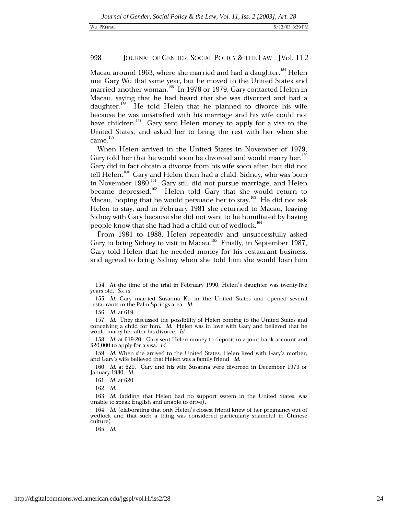Macau around 1963, where she married and had a daughter.<sup>154</sup> Helen met Gary Wu that same year, but he moved to the United States and married another woman.<sup>155</sup> In 1978 or 1979, Gary contacted Helen in Macau, saying that he had heard that she was divorced and had a daughter.<sup>156</sup> He told Helen that he planned to divorce his wife because he was unsatisfied with his marriage and his wife could not have children.<sup>157</sup> Gary sent Helen money to apply for a visa to the United States, and asked her to bring the rest with her when she came.<sup>158</sup>

When Helen arrived in the United States in November of 1979, Gary told her that he would soon be divorced and would marry her.<sup>159</sup> Gary did in fact obtain a divorce from his wife soon after, but did not tell Helen.<sup>160</sup> Gary and Helen then had a child, Sidney, who was born in November 1980. $^{161}_{12}$  Gary still did not pursue marriage, and Helen became depressed.<sup>162</sup> Helen told Gary that she would return to Macau, hoping that he would persuade her to stay.<sup>163</sup> He did not ask Helen to stay, and in February 1981 she returned to Macau, leaving Sidney with Gary because she did not want to be humiliated by having people know that she had had a child out of wedlock.<sup>164</sup>

From 1981 to 1988, Helen repeatedly and unsuccessfully asked Gary to bring Sidney to visit in Macau.<sup>165</sup> Finally, in September 1987, Gary told Helen that he needed money for his restaurant business, and agreed to bring Sidney when she told him she would loan him

<sup>154.</sup> At the time of the trial in February 1990, Helen's daughter was twenty-five years old. See id.

<sup>155.</sup> Id. Gary married Susanna Ku in the United States and opened several restaurants in the Palm Springs area. Id.

<sup>156.</sup> *Id.* at 619.

<sup>157.</sup> Id. They discussed the possibility of Helen coming to the United States and conceiving a child for him. Id. Helen was in love with Gary and believed that he would marry her after his divorce. Id.

<sup>158.</sup> Id. at 619-20. Gary sent Helen money to deposit in a joint bank account and \$20,000 to apply for a visa. Id.

<sup>159.</sup> Id. When she arrived to the United States, Helen lived with Gary's mother, and Gary's wife believed that Helen was a family friend. Id.

<sup>160.</sup> Id. at 620. Gary and his wife Susanna were divorced in December 1979 or January 1980. Id.

<sup>161.</sup> Id. at 620.

<sup>162.</sup> Id.

<sup>163.</sup> Id. (adding that Helen had no support system in the United States, was unable to speak English and unable to drive).

<sup>164.</sup> Id. (elaborating that only Helen's closest friend knew of her pregnancy out of wedlock and that such a thing was considered particularly shameful in Chinese culture).

<sup>165.</sup> Id.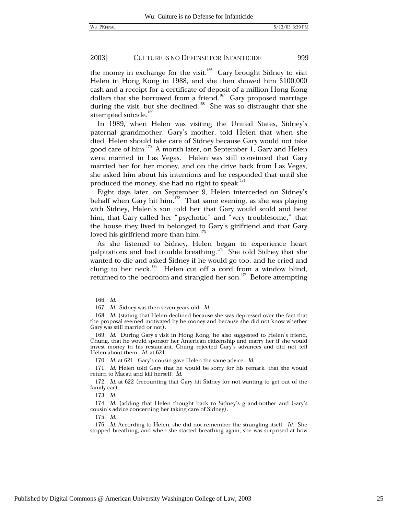the money in exchange for the visit.<sup>166</sup> Gary brought Sidney to visit Helen in Hong Kong in 1988, and she then showed him \$100,000 cash and a receipt for a certificate of deposit of a million Hong Kong dollars that she borrowed from a friend.<sup>167</sup> Gary proposed marriage during the visit, but she declined.<sup>168</sup> She was so distraught that she attempted suicide.<sup>169</sup>

In 1989, when Helen was visiting the United States, Sidney's paternal grandmother, Gary's mother, told Helen that when she died, Helen should take care of Sidney because Gary would not take good care of him.<sup>170</sup> A month later, on September 1, Gary and Helen were married in Las Vegas. Helen was still convinced that Gary married her for her money, and on the drive back from Las Vegas, she asked him about his intentions and he responded that until she produced the money, she had no right to speak.<sup>171</sup>

Eight days later, on September 9, Helen interceded on Sidney's behalf when Gary hit him.<sup>172</sup> That same evening, as she was playing with Sidney, Helen's son told her that Gary would scold and beat him, that Gary called her "psychotic" and "very troublesome," that the house they lived in belonged to Gary's girlfriend and that Gary loved his girlfriend more than him.<sup>173</sup>

As she listened to Sidney, Helen began to experience heart palpitations and had trouble breathing.  $174$  She told Sidney that she wanted to die and asked Sidney if he would go too, and he cried and clung to her neck.<sup>175</sup> Helen cut off a cord from a window blind, returned to the bedroom and strangled her son.<sup>176</sup> Before attempting

173. Id.

 $175$   $Id$ 

<sup>166.</sup> Id.

<sup>167.</sup> Id. Sidney was then seven years old. Id.

<sup>168.</sup> Id. (stating that Helen declined because she was depressed over the fact that the proposal seemed motivated by he money and because she did not know whether Gary was still married or not).

<sup>169.</sup> Id. During Gary's visit in Hong Kong, he also suggested to Helen's friend, Chung, that he would sponsor her American citizenship and marry her if she would invest money in his restaurant. Chung rejected Gary's advances and did not tell Helen about them. Id. at 621.

<sup>170.</sup> Id. at 621. Gary's cousin gave Helen the same advice. Id.

<sup>171.</sup> Id. Helen told Gary that he would be sorry for his remark, that she would return to Macau and kill herself. Id.

<sup>172.</sup> Id. at 622 (recounting that Gary hit Sidney for not wanting to get out of the family car).

<sup>174.</sup> Id. (adding that Helen thought back to Sidney's grandmother and Gary's cousin's advice concerning her taking care of Sidney).

<sup>176.</sup> Id. According to Helen, she did not remember the strangling itself. Id. She stopped breathing, and when she started breathing again, she was surprised at how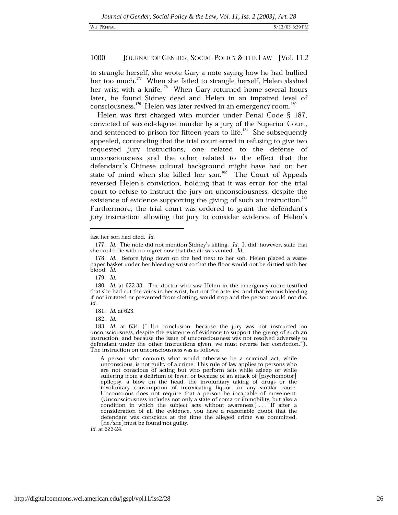to strangle herself, she wrote Gary a note saying how he had bullied her too much.<sup>177</sup> When she failed to strangle herself, Helen slashed her wrist with a knife.<sup>178</sup> When Gary returned home several hours later, he found Sidney dead and Helen in an impaired level of consciousness.<sup>179</sup> Helen was later revived in an emergency room.<sup>180</sup>

Helen was first charged with murder under Penal Code § 187. convicted of second-degree murder by a jury of the Superior Court, and sentenced to prison for fifteen years to life.<sup>181</sup> She subsequently appealed, contending that the trial court erred in refusing to give two requested jury instructions, one related to the defense of unconsciousness and the other related to the effect that the defendant's Chinese cultural background might have had on her state of mind when she killed her son.<sup>182</sup> The Court of Appeals reversed Helen's conviction, holding that it was error for the trial court to refuse to instruct the jury on unconsciousness, despite the existence of evidence supporting the giving of such an instruction.<sup>183</sup> Furthermore, the trial court was ordered to grant the defendant's jury instruction allowing the jury to consider evidence of Helen's

182. Id.

A person who commits what would otherwise be a criminal act, while unconscious, is not guilty of a crime. This rule of law applies to persons who are not conscious of acting but who perform acts while asleep or while suffering from a delirium of fever, or because of an attack of [psychomotor] epilepsy, a blow on the head, the involuntary taking of drugs or the involuntary consumption of intoxicating liquor, or any similar cause. Unconscious does not require that a person be incapable of movement. (Unconsciousness includes not only a state of coma or immobility, but also a condition in which the subject acts without awareness.) . . If after a consideration of all the evidence, you have a reasonable doubt that the defendant was conscious at the time the alleged crime was committed, [he/she] must be found not guilty.

Id. at 623-24.

fast her son had died. Id.

<sup>177.</sup> Id. The note did not mention Sidney's killing. Id. It did, however, state that she could die with no regret now that the air was vented. Id.

<sup>178.</sup> Id. Before lying down on the bed next to her son, Helen placed a wastepaper basket under her bleeding wrist so that the floor would not be dirtied with her blood. Id.

<sup>179.</sup> Id.

<sup>180.</sup> Id. at 622-33. The doctor who saw Helen in the emergency room testified that she had cut the veins in her wrist, but not the arteries, and that venous bleeding if not irritated or prevented from clotting, would stop and the person would not die. Id.

<sup>181.</sup> Id. at 623.

<sup>183.</sup> Id. at 634 ("[I]n conclusion, because the jury was not instructed on unconsciousness, despite the existence of evidence to support the giving of such an instruction, and because the issue of unconsciousness was not resolved adversely to defendant under the other instructions given, we must reverse her conviction."). The instruction on unconsciousness was as follows: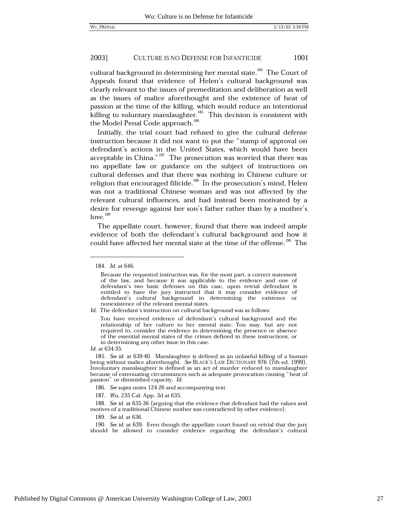cultural background in determining her mental state.<sup>184</sup> The Court of Appeals found that evidence of Helen's cultural background was clearly relevant to the issues of premeditation and deliberation as well as the issues of malice aforethought and the existence of heat of passion at the time of the killing, which would reduce an intentional killing to voluntary manslaughter.<sup>185</sup> This decision is consistent with the Model Penal Code approach.<sup>186</sup>

Initially, the trial court had refused to give the cultural defense instruction because it did not want to put the "stamp of approval on defendant's actions in the United States, which would have been acceptable in China."<sup>187</sup> The prosecution was worried that there was no appellate law or guidance on the subject of instructions on cultural defenses and that there was nothing in Chinese culture or religion that encouraged filicide.<sup>188</sup> In the prosecution's mind, Helen was not a traditional Chinese woman and was not affected by the relevant cultural influences, and had instead been motivated by a desire for revenge against her son's father rather than by a mother's  $love.<sup>189</sup>$ 

The appellate court, however, found that there was indeed ample evidence of both the defendant's cultural background and how it could have affected her mental state at the time of the offense.<sup>190</sup> The

Id. The defendant's instruction on cultural background was as follows:

You have received evidence of defendant's cultural background and the relationship of her culture to her mental state. You may, but are not required to, consider the evidence in determining the presence or absence of the essential mental states of the crimes defined in these instructions, or in determining any other issue in this case.

Id. at 634-35.

189. See id. at 636.

<sup>184.</sup> *Id.* at 646.

Because the requested instruction was, for the most part, a correct statement of the law, and because it was applicable to the evidence and one of defendant's two basic defenses on this case, upon retrial defendant is entitled to have the jury instructed that it may consider evidence of defendant's cultural background in determining the existence or nonexistence of the relevant mental states.

<sup>185.</sup> See id. at 639-40. Manslaughter is defined as an unlawful killing of a human being without malice aforethought. See BLACK's LAW DICTIONARY 976 (7th ed. 1999). Involuntary manslaughter is defined as an act of murder reduced to manslaughter because of extenuating circumstances such as adequate provocation causing "heat of passion" or diminished capacity. Id.

<sup>186.</sup> See supra notes 124-26 and accompanying text.

<sup>187.</sup> Wu, 235 Cal. App. 3d at 635.

<sup>188.</sup> See id. at 635-36 (arguing that the evidence that defendant had the values and motives of a traditional Chinese mother was contradicted by other evidence).

<sup>190.</sup> See id. at 639. Even though the appellate court found on retrial that the jury should be allowed to consider evidence regarding the defendant's cultural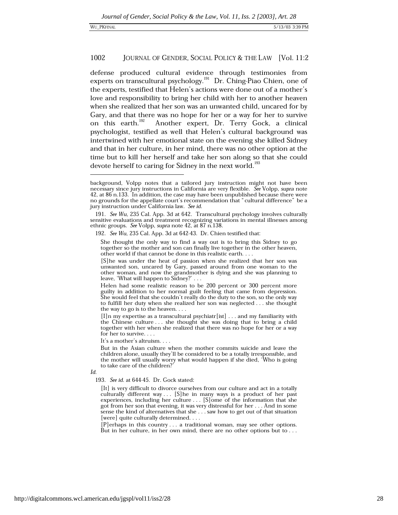defense produced cultural evidence through testimonies from experts on transcultural psychology.<sup>191</sup> Dr. Ching-Piao Chien, one of the experts, testified that Helen's actions were done out of a mother's love and responsibility to bring her child with her to another heaven when she realized that her son was an unwanted child, uncared for by Gary, and that there was no hope for her or a way for her to survive on this earth.<sup>192</sup> Another expert, Dr. Terry Gock, a clinical psychologist, testified as well that Helen's cultural background was intertwined with her emotional state on the evening she killed Sidney and that in her culture, in her mind, there was no other option at the time but to kill her herself and take her son along so that she could devote herself to caring for Sidney in the next world.<sup>193</sup>

[I]n my expertise as a transcultural psychiatr[ist] . . . and my familiarity with the Chinese culture . . . she thought she was doing that to bring a child together with her when she realized that there was no hope for her or a way for her to survive. . . .

It's a mother's altruism....

But in the Asian culture when the mother commits suicide and leave the children alone, usually they'll be considered to be a totally irresponsible, and the mother will usually worry what would happen if she died, 'Who is going to take care of the children?

193. See id. at 644-45. Dr. Gock stated:

[It] is very difficult to divorce ourselves from our culture and act in a totally culturally different way...  $[S]$  he in many ways is a product of her past experiences, including her culture  $\ldots$  [S] ome of the information that she got from her son that evening, it was very distressful for her . . . And in some sense the kind of alternatives that she  $\ldots$  saw how to get out of that situation [were] quite culturally determined....

 $[P]$ erhaps in this country ... a traditional woman, may see other options. But in her culture, in her own mind, there are no other options but to  $\dots$ 

background, Volpp notes that a tailored jury instruction might not have been necessary since jury instructions in California are very flexible. See Volpp, supra note 42, at 86 n.133. In addition, the case may have been unpublished because there were no grounds for the appellate court's recommendation that "cultural difference" be a jury instruction under California law. See id.

<sup>191.</sup> See Wu, 235 Cal. App. 3d at 642. Transcultural psychology involves culturally sensitive evaluations and treatment recognizing variations in mental illnesses among ethnic groups. See Volpp, supra note 42, at 87 n.138.

<sup>192.</sup> See Wu, 235 Cal. App. 3d at 642-43. Dr. Chien testified that:

She thought the only way to find a way out is to bring this Sidney to go together so the mother and son can finally live together in the other heaven, other world if that cannot be done in this realistic earth. . . .

<sup>[</sup>S] he was under the heat of passion when she realized that her son was unwanted son, uncared by Gary, passed around from one woman to the other woman, and now the grandmother is dying and she was planning to leave, 'What will happen to Sidney?' . . .

Helen had some realistic reason to be 200 percent or 300 percent more guilty in addition to her normal guilt feeling that came from depression.<br>She would feel that she couldn't really do the duty to the son, so the only way to fulfill her duty when she realized her son was neglected . . . she thought the way to go is to the heaven. . . .

 $Id$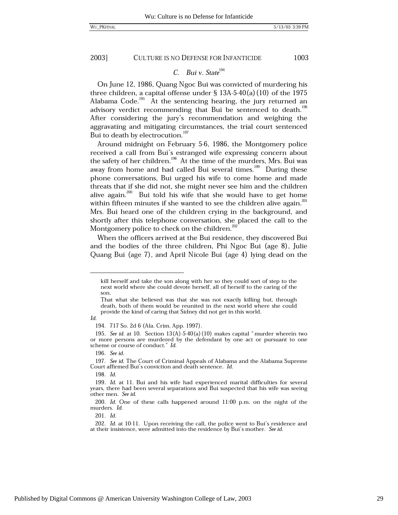2003]

**CULTURE IS NO DEFENSE FOR INFANTICIDE** 

1003

# C. Bui v. State<sup>194</sup>

On June 12, 1986, Quang Ngoc Bui was convicted of murdering his three children, a capital offense under  $\S$  13A-5-40(a)(10) of the 1975 Alabama Code.<sup>195</sup> At the sentencing hearing, the jury returned an advisory verdict recommending that Bui be sentenced to death.<sup>196</sup> After considering the jury's recommendation and weighing the aggravating and mitigating circumstances, the trial court sentenced Bui to death by electrocution.<sup>197</sup>

Around midnight on February 5-6, 1986, the Montgomery police received a call from Bui's estranged wife expressing concern about the safety of her children.<sup>198</sup> At the time of the murders, Mrs. Bui was away from home and had called Bui several times.<sup>199</sup> During these phone conversations, Bui urged his wife to come home and made threats that if she did not, she might never see him and the children alive again.<sup>200</sup> Bui told his wife that she would have to get home within fifteen minutes if she wanted to see the children alive again.<sup>201</sup> Mrs. Bui heard one of the children crying in the background, and shortly after this telephone conversation, she placed the call to the Montgomery police to check on the children.<sup>202</sup>

When the officers arrived at the Bui residence, they discovered Bui and the bodies of the three children, Phi Ngoc Bui (age 8), Julie Quang Bui (age 7), and April Nicole Bui (age 4) lying dead on the

Id.

196. See id.

198. Id.

201. Id.

kill herself and take the son along with her so they could sort of step to the next world where she could devote herself, all of herself to the caring of the son.

That what she believed was that she was not exactly killing but, through death, both of them would be reunited in the next world where she could provide the kind of caring that Sidney did not get in this world.

<sup>194. 717</sup> So. 2d 6 (Ala. Crim. App. 1997).

<sup>195.</sup> See id. at 10. Section  $13(A)$ -5-40(a)(10) makes capital "murder wherein two or more persons are murdered by the defendant by one act or pursuant to one scheme or course of conduct." Id.

<sup>197.</sup> See id. The Court of Criminal Appeals of Alabama and the Alabama Supreme Court affirmed Bui's conviction and death sentence. Id.

<sup>199.</sup> Id. at 11. Bui and his wife had experienced marital difficulties for several years, there had been several separations and Bui suspected that his wife was seeing other men. See id.

<sup>200.</sup> Id. One of these calls happened around  $11:00$  p.m. on the night of the murders. Id.

<sup>202.</sup> Id. at 10-11. Upon receiving the call, the police went to Bui's residence and at their insistence, were admitted into the residence by Bui's mother. See id.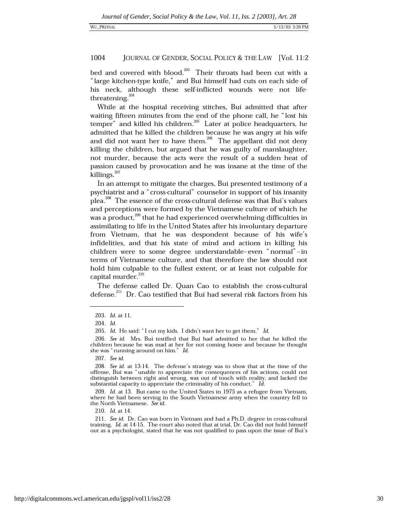bed and covered with blood.<sup>203</sup> Their throats had been cut with a "large kitchen-type knife," and Bui himself had cuts on each side of his neck, although these self-inflicted wounds were not lifethreatening.<sup>204</sup>

While at the hospital receiving stitches, Bui admitted that after waiting fifteen minutes from the end of the phone call, he "lost his temper" and killed his children.<sup>205</sup> Later at police headquarters, he admitted that he killed the children because he was angry at his wife and did not want her to have them.<sup>206</sup> The appellant did not deny killing the children, but argued that he was guilty of manslaughter, not murder, because the acts were the result of a sudden heat of passion caused by provocation and he was insane at the time of the killings. $^{207}$ 

In an attempt to mitigate the charges, Bui presented testimony of a psychiatrist and a "cross-cultural" counselor in support of his insanity plea.<sup>208</sup> The essence of the cross-cultural defense was that Bui's values and perceptions were formed by the Vietnamese culture of which he was a product,<sup>209</sup> that he had experienced overwhelming difficulties in assimilating to life in the United States after his involuntary departure from Vietnam, that he was despondent because of his wife's infidelities, and that his state of mind and actions in killing his children were to some degree understandable-even "normal"-in terms of Vietnamese culture, and that therefore the law should not hold him culpable to the fullest extent, or at least not culpable for capital murder.<sup>210</sup>

The defense called Dr. Quan Cao to establish the cross-cultural defense.<sup>211</sup> Dr. Cao testified that Bui had several risk factors from his

210. *Id.* at 14.

<sup>203.</sup> Id. at 11.

<sup>204.</sup> Id.

<sup>205.</sup> Id. He said: "I cut my kids. I didn't want her to get them." Id.

<sup>206.</sup> See id. Mrs. Bui testified that Bui had admitted to her that he killed the children because he was mad at her for not coming home and because he thought she was "running around on him." Id.

<sup>207.</sup> See id.

<sup>208.</sup> See id. at 13-14. The defense's strategy was to show that at the time of the offense, Bui was "unable to appreciate the consequences of his actions, could not distinguish between right and wrong, was out of touch with reality, and lacked the substantial capacity to appreciate the criminality of his conduct." Id.

<sup>209.</sup> Id. at 13. Bui came to the United States in 1975 as a refugee from Vietnam, where he had been serving in the South Vietnamese army when the country fell to the North Vietnamese. See id.

<sup>211.</sup> See id. Dr. Cao was born in Vietnam and had a Ph.D. degree in cross-cultural training. Id. at 14-15. The court also noted that at trial, Dr. Cao did not hold himself out as a psychologist, stated that he was not qualified to pass upon the issue of Bui's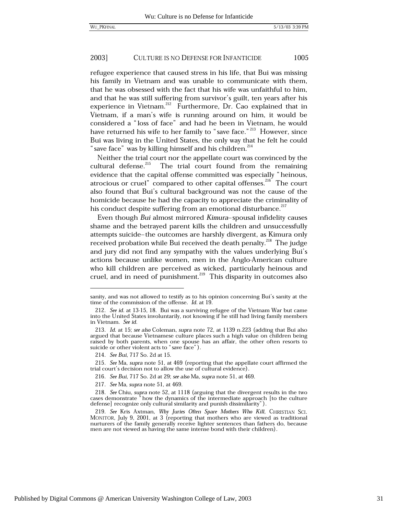refugee experience that caused stress in his life, that Bui was missing his family in Vietnam and was unable to communicate with them, that he was obsessed with the fact that his wife was unfaithful to him, and that he was still suffering from survivor's guilt, ten years after his experience in Vietnam.<sup>212</sup> Furthermore, Dr. Cao explained that in Vietnam, if a man's wife is running around on him, it would be considered a "loss of face" and had he been in Vietnam, he would have returned his wife to her family to "save face."<sup>213</sup> However, since Bui was living in the United States, the only way that he felt he could "save face" was by killing himself and his children.<sup>214</sup>

Neither the trial court nor the appellate court was convinced by the cultural defense.<sup>215</sup> The trial court found from the remaining evidence that the capital offense committed was especially "heinous, atrocious or cruel" compared to other capital offenses.<sup>216</sup> The court also found that Bui's cultural background was not the cause of the homicide because he had the capacity to appreciate the criminality of his conduct despite suffering from an emotional disturbance.<sup>217</sup>

Even though Bui almost mirrored Kimura-spousal infidelity causes shame and the betraved parent kills the children and unsuccessfully attempts suicide-the outcomes are harshly divergent, as Kimura only received probation while Bui received the death penalty.<sup>218</sup> The judge and jury did not find any sympathy with the values underlying Bui's actions because unlike women, men in the Anglo-American culture who kill children are perceived as wicked, particularly heinous and cruel, and in need of punishment.<sup>219</sup> This disparity in outcomes also

sanity, and was not allowed to testify as to his opinion concerning Bui's sanity at the time of the commission of the offense.  $Id$ . at 19.

<sup>212.</sup> See id. at 13-15, 18. Bui was a surviving refugee of the Vietnam War but came into the United States involuntarily, not knowing if he still had living family members in Vietnam. See id.

<sup>213.</sup> Id. at 15; see also Coleman, supra note 72, at 1139 n.223 (adding that Bui also argued that because Vietnamese culture places such a high value on children being raised by both parents, when one spouse has an affair, the other often resorts to suicide or other violent acts to "save face").

<sup>214.</sup> See Bui, 717 So. 2d at 15.

<sup>215.</sup> See Ma, supra note 51, at 469 (reporting that the appellate court affirmed the trial court's decision not to allow the use of cultural evidence).

<sup>216.</sup> See Bui, 717 So. 2d at 29; see also Ma, supra note 51, at 469.

<sup>217.</sup> See Ma, supra note 51, at 469.

<sup>218.</sup> See Chiu, supra note 52, at 1118 (arguing that the divergent results in the two cases demonstrate " how the dynamics of the intermediate approach [to the culture defense] recognize only cultural similarity and punish dissimilarity").

<sup>219.</sup> See Kris Axtman, Why Juries Often Spare Mothers Who Kill, CHRISTIAN SCI. MONITOR, July 9, 2001, at 3 (reporting that mothers who are viewed as traditional nurturers of the family generally receive lighter sentences than fathers do, because men are not viewed as having the same intense bond with their children).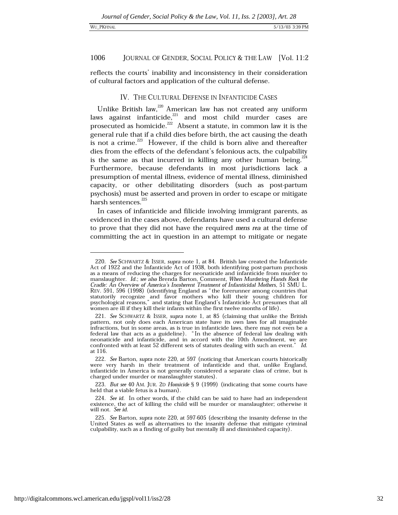### WU PKFINAL

### 1006 JOURNAL OF GENDER, SOCIAL POLICY & THE LAW [Vol. 11:2

reflects the courts' inability and inconsistency in their consideration of cultural factors and application of the cultural defense.

# IV. THE CULTURAL DEFENSE IN INFANTICIDE CASES

Unlike British law,<sup>220</sup> American law has not created any uniform laws against infanticide,<sup>221</sup> and most child murder cases are prosecuted as homicide.<sup>222</sup> Absent a statute, in common law it is the general rule that if a child dies before birth, the act causing the death is not a crime.<sup>223</sup> However, if the child is born alive and thereafter dies from the effects of the defendant's felonious acts, the culpability is the same as that incurred in killing any other human being.  $24$ Furthermore, because defendants in most jurisdictions lack a presumption of mental illness, evidence of mental illness, diminished capacity, or other debilitating disorders (such as post-partum psychosis) must be asserted and proven in order to escape or mitigate harsh sentences.<sup>225</sup>

In cases of infanticide and filicide involving immigrant parents, as evidenced in the cases above, defendants have used a cultural defense to prove that they did not have the required mens rea at the time of committing the act in question in an attempt to mitigate or negate

223. But see 40 AM. JUR. 2D Homicide § 9 (1999) (indicating that some courts have held that a viable fetus is a human).

<sup>220.</sup> See SCHWARTZ & ISSER, supra note 1, at 84. British law created the Infanticide Act of 1922 and the Infanticide Act of 1938, both identifying post-partum psychosis as a means of reducing the charges for neonaticide and infanticide from murder to manslaughter. Id.; see also Brenda Barton, Comment, When Murdering Hands Rock the Cradle: An Overview of America's Incoherent Treatment of Infanticidal Mothers, 51 SMU L. REV. 591, 596 (1998) (identifying England as "the forerunner among countries that statutorily recognize and favor mothers who kill their young children for psychological reasons," and stating that England's Infanticide Act presumes that all women are ill if they kill their infants within the first twelve months of life).

<sup>221.</sup> See SCHWARTZ & ISSER, supra note 1, at 85 (claiming that unlike the British pattern, not only does each American state have its own laws for all imaginable infractions, but in some areas, as is true in infanticide laws, there may not even be a federal law that acts as a guideline). "In the absence of federal law dealing with neonaticide and infanticide, and in accord with the 10th Amendment, we are confronted with at least 52 different sets of statutes dealing with such an event." Id. at 116.

<sup>222.</sup> See Barton, supra note 220, at 597 (noticing that American courts historically were very harsh in their treatment of infanticide and that, unlike England, infanticide in America is not generally considered a separate class of crime, but is charged under murder or manslaughter statutes).

<sup>224.</sup> See id. In other words, if the child can be said to have had an independent existence, the act of killing the child will be murder or manslaughter; otherwise it will not. See id.

<sup>225.</sup> See Barton, supra note 220, at 597-605 (describing the insanity defense in the United States as well as alternatives to the insanity defense that mitigate criminal culpability, such as a finding of guilty but mentally ill and diminished capacity).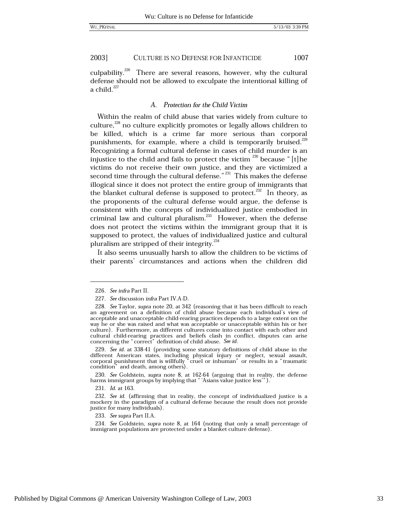culpability.<sup>226</sup> There are several reasons, however, why the cultural defense should not be allowed to exculpate the intentional killing of a child. $227$ 

## A. Protection for the Child Victim

Within the realm of child abuse that varies widely from culture to culture.<sup>228</sup> no culture explicitly promotes or legally allows children to be killed, which is a crime far more serious than corporal punishments, for example, where a child is temporarily bruised.<sup>229</sup> Recognizing a formal cultural defense in cases of child murder is an injustice to the child and fails to protect the victim  $^{230}$  because "[t] he victims do not receive their own justice, and they are victimized a second time through the cultural defense."<sup>231</sup> This makes the defense illogical since it does not protect the entire group of immigrants that the blanket cultural defense is supposed to protect.<sup>232</sup> In theory, as the proponents of the cultural defense would argue, the defense is consistent with the concepts of individualized justice embodied in criminal law and cultural pluralism.<sup>233</sup> However, when the defense does not protect the victims within the immigrant group that it is supposed to protect, the values of individualized justice and cultural pluralism are stripped of their integrity.<sup>234</sup>

It also seems unusually harsh to allow the children to be victims of their parents' circumstances and actions when the children did

229. See id. at 338-41 (providing some statutory definitions of child abuse in the different American states, including physical injury or neglect, sexual assault, corporal punishment that is willfully "cruel or inhuman" or results in a "traumatic condition" and death, among others).

233. See supra Part II.A.

<sup>226.</sup> See infra Part II.

<sup>227.</sup> See discussion infra Part IV.A-D.

<sup>228.</sup> See Taylor, supra note 20, at 342 (reasoning that it has been difficult to reach an agreement on a definition of child abuse because each individual's view of acceptable and unacceptable child-rearing practices depends to a large extent on the way he or she was raised and what was acceptable or unacceptable within his or her culture). Furthermore, as different cultures come into contact with each other and cultural child-rearing practices and beliefs clash in conflict, disputes can arise concerning the "correct" definition of child abuse. See id.

<sup>230.</sup> See Goldstein, supra note 8, at  $162-64$  (arguing that in reality, the defense harms immigrant groups by implying that " 'Asians value justice less'").

<sup>231.</sup> Id. at 163.

<sup>232.</sup> See id. (affirming that in reality, the concept of individualized justice is a mockery in the paradigm of a cultural defense because the result does not provide justice for many individuals).

<sup>234.</sup> See Goldstein, supra note 8, at 164 (noting that only a small percentage of immigrant populations are protected under a blanket culture defense).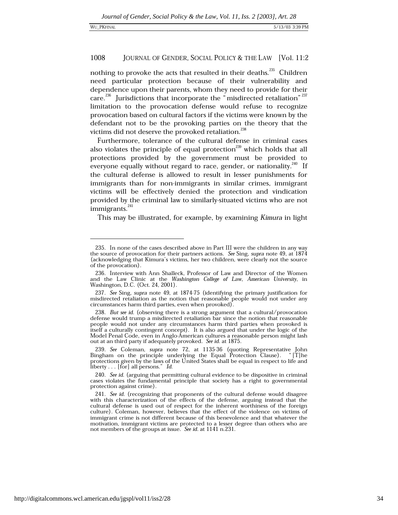nothing to provoke the acts that resulted in their deaths.<sup>235</sup> Children need particular protection because of their vulnerability and dependence upon their parents, whom they need to provide for their care.<sup>236</sup> Jurisdictions that incorporate the "misdirected retaliation"<sup>237</sup> limitation to the provocation defense would refuse to recognize provocation based on cultural factors if the victims were known by the defendant not to be the provoking parties on the theory that the victims did not deserve the provoked retaliation.<sup>238</sup>

Furthermore, tolerance of the cultural defense in criminal cases also violates the principle of equal protection<sup>239</sup> which holds that all protections provided by the government must be provided to everyone equally without regard to race, gender, or nationality.<sup>240</sup> If the cultural defense is allowed to result in lesser punishments for immigrants than for non-immigrants in similar crimes, immigrant victims will be effectively denied the protection and vindication provided by the criminal law to similarly-situated victims who are not immigrants.<sup>241</sup>

This may be illustrated, for example, by examining Kimura in light

<sup>235.</sup> In none of the cases described above in Part III were the children in any way the source of provocation for their partners actions. See Sing, supra note 49, at  $1874$ (acknowledging that Kimura's victims, her two children, were clearly not the source of the provocation).

<sup>236.</sup> Interview with Ann Shalleck, Professor of Law and Director of the Women and the Law Clinic at the Washington College of Law, American University, in Washington, D.C. (Oct. 24, 2001).

<sup>237.</sup> See Sing, supra note 49, at 1874-75 (identifying the primary justification for misdirected retaliation as the notion that reasonable people would not under any circumstances harm third parties, even when provoked).

<sup>238.</sup> But see id. (observing there is a strong argument that a cultural/provocation defense would trump a misdirected retaliation bar since the notion that reasonable people would not under any circumstances harm third parties when provoked is itself a culturally contingent concept). It is also argued that under the logic of the Model Penal Code, even in Anglo-American cultures a reasonable person might lash out at an third party if adequately provoked. See id. at 1875.

<sup>239.</sup> See Coleman, supra note 72, at 1135-36 (quoting Representative John Eingham on the principle underlying the Equal Protection Clause). "[T] he protections given by the laws of the United States shall be equal in respect to life and liberty... [for] all persons." Id.

<sup>240.</sup> See id. (arguing that permitting cultural evidence to be dispositive in criminal cases violates the fundamental principle that society has a right to governmental protection against crime).

<sup>241.</sup> See id. (recognizing that proponents of the cultural defense would disagree with this characterization of the effects of the defense, arguing instead that the cultural defense is used out of respect for the inherent worthiness of the foreign culture). Coleman, however, believes that the effect of the violence on victims of immigrant crime is not different because of this benevolence and that whatever the motivation, immigrant victims are protected to a lesser degree than others who are not members of the groups at issue. See id. at 1141 n.231.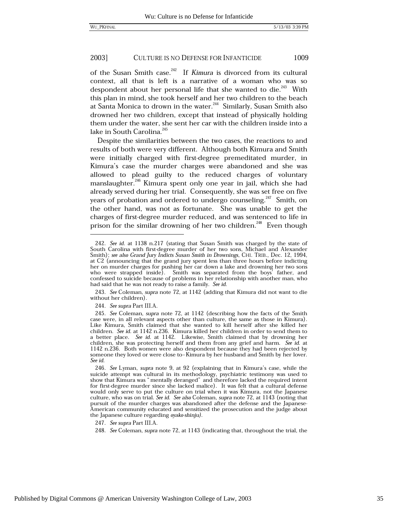of the Susan Smith case.<sup>242</sup> If Kimura is divorced from its cultural context, all that is left is a narrative of a woman who was so despondent about her personal life that she wanted to die.<sup>243</sup> With this plan in mind, she took herself and her two children to the beach at Santa Monica to drown in the water.<sup>244</sup> Similarly, Susan Smith also drowned her two children, except that instead of physically holding them under the water, she sent her car with the children inside into a lake in South Carolina.<sup>245</sup>

Despite the similarities between the two cases, the reactions to and results of both were very different. Although both Kimura and Smith were initially charged with first-degree premeditated murder, in Kimura's case the murder charges were abandoned and she was allowed to plead guilty to the reduced charges of voluntary manslaughter.<sup>246</sup> Kimura spent only one year in jail, which she had already served during her trial. Consequently, she was set free on five years of probation and ordered to undergo counseling.<sup>247</sup> Smith, on the other hand, was not as fortunate. She was unable to get the charges of first-degree murder reduced, and was sentenced to life in prison for the similar drowning of her two children.<sup>248</sup> Even though

244. See supra Part III.A.

247. See supra Part III.A.

<sup>242.</sup> See id. at 1138 n.217 (stating that Susan Smith was charged by the state of South Carolina with first-degree murder of her two sons, Michael and Alexander Smith); see also Grand Jury Indicts Susan Smith in Drownings, CHI. TRIB., Dec. 12, 1994, at C2 (announcing that the grand jury spent less than three hours before indicting her on murder charges for pushing her car down a lake and drowning her two sons who were strapped inside). Smith was separated from the boys father, and confessed to suicide because of problems in her relationship with another man, who had said that he was not ready to raise a family. See id.

<sup>243.</sup> See Coleman, supra note 72, at 1142 (adding that Kimura did not want to die without her children).

<sup>245.</sup> See Coleman, supra note 72, at 1142 (describing how the facts of the Smith case were, in all relevant aspects other than culture, the same as those in Kimura). Like Kimura, Smith claimed that she wanted to kill herself after she killed her children. See id. at 1142 n.236. Kimura killed her children in order to send them to a better place. See id. at 1142. Likewise, Smith claimed that by drowning her children, she was protecting herself and them from any grief and harm. See id. at 1142 n.236. Both women were also despondent because they had been rejected by someone they loved or were close to-Kimura by her husband and Smith by her lover. See id.

<sup>246.</sup> See Lyman, supra note 9, at 92 (explaining that in Kimura's case, while the suicide attempt was cultural in its methodology, psychiatric testimony was used to show that Kimura was "mentally deranged" and therefore lacked the required intent for first-degree murder since she lacked malice). It was felt that a cultural defense would only serve to put the culture on trial when it was Kimura, not the Japanese culture, who was on trial. See id. See also Coleman, supra note 72, at 1143 (noting that pursuit of the murder charges was abandoned after the defense and the Japanese-American community educated and sensitized the prosecution and the judge about the Japanese culture regarding oyako-shinju).

<sup>248.</sup> See Coleman, supra note 72, at 1143 (indicating that, throughout the trial, the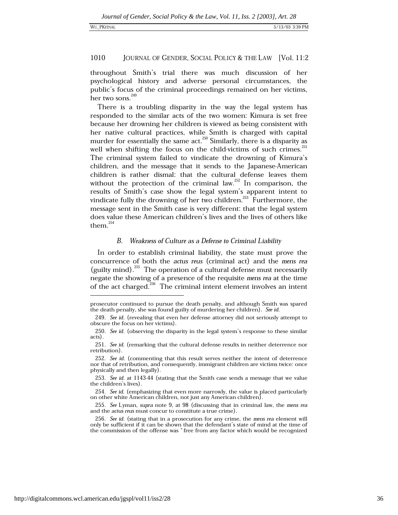throughout Smith's trial there was much discussion of her psychological history and adverse personal circumstances, the public's focus of the criminal proceedings remained on her victims, her two sons.<sup>249</sup>

There is a troubling disparity in the way the legal system has responded to the similar acts of the two women: Kimura is set free because her drowning her children is viewed as being consistent with her native cultural practices, while Smith is charged with capital murder for essentially the same act.<sup>250</sup> Similarly, there is a disparity as well when shifting the focus on the child-victims of such crimes.<sup>251</sup> The criminal system failed to vindicate the drowning of Kimura's children, and the message that it sends to the Japanese-American children is rather dismal: that the cultural defense leaves them without the protection of the criminal law.<sup>252</sup> In comparison, the results of Smith's case show the legal system's apparent intent to vindicate fully the drowning of her two children.<sup>253</sup> Furthermore, the message sent in the Smith case is very different: that the legal system does value these American children's lives and the lives of others like them. $254$ 

### В. Weakness of Culture as a Defense to Criminal Liability

In order to establish criminal liability, the state must prove the concurrence of both the actus reus (criminal act) and the mens rea (guilty mind).<sup>255</sup> The operation of a cultural defense must necessarily negate the showing of a presence of the requisite mens rea at the time of the act charged.<sup>256</sup> The criminal intent element involves an intent

prosecutor continued to pursue the death penalty, and although Smith was spared the death penalty, she was found guilty of murdering her children). See id.

<sup>249.</sup> See id. (revealing that even her defense attorney did not seriously attempt to obscure the focus on her victims).

<sup>250.</sup> See id. (observing the disparity in the legal system's response to these similar acts).

<sup>251.</sup> See id. (remarking that the cultural defense results in neither deterrence nor retribution).

<sup>252.</sup> See id. (commenting that this result serves neither the intent of deterrence nor that of retribution, and consequently, immigrant children are victims twice: once physically and then legally).

<sup>253.</sup> See id. at 1143-44 (stating that the Smith case sends a message that we value the children's lives).

<sup>254.</sup> See id. (emphasizing that even more narrowly, the value is placed particularly on other white American children, not just any American children).

<sup>255.</sup> See Lyman, supra note 9, at 98 (discussing that in criminal law, the mens rea and the *actus reus* must concur to constitute a true crime).

<sup>256.</sup> See id. (stating that in a prosecution for any crime, the mens rea element will only be sufficient if it can be shown that the defendant's state of mind at the time of the commission of the offense was "free from any factor which would be recognized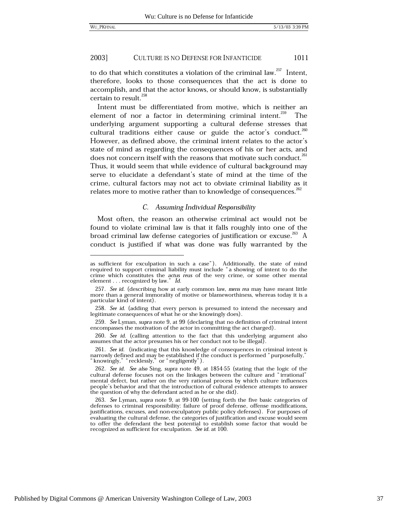to do that which constitutes a violation of the criminal law.<sup>257</sup> Intent, therefore, looks to those consequences that the act is done to accomplish, and that the actor knows, or should know, is substantially certain to result.<sup>258</sup>

Intent must be differentiated from motive, which is neither an element of nor a factor in determining criminal intent.<sup>259</sup> The underlying argument supporting a cultural defense stresses that cultural traditions either cause or guide the actor's conduct. $^{260}$ However, as defined above, the criminal intent relates to the actor's state of mind as regarding the consequences of his or her acts, and does not concern itself with the reasons that motivate such conduct.<sup>261</sup> Thus, it would seem that while evidence of cultural background may serve to elucidate a defendant's state of mind at the time of the crime, cultural factors may not act to obviate criminal liability as it relates more to motive rather than to knowledge of consequences.<sup>262</sup>

# C. Assuming Individual Responsibility

Most often, the reason an otherwise criminal act would not be found to violate criminal law is that it falls roughly into one of the broad criminal law defense categories of justification or excuse.<sup>263</sup> A conduct is justified if what was done was fully warranted by the

as sufficient for exculpation in such a case"). Additionally, the state of mind required to support criminal liability must include "a showing of intent to do the crime which constitutes the actus reus of the very crime, or some other mental element . . . recognized by law." Id.

<sup>257.</sup> See id. (describing how at early common law, mens rea may have meant little more than a general immorality of motive or blameworthiness, whereas today it is a particular kind of intent).

<sup>258.</sup> See id. (adding that every person is presumed to intend the necessary and legitimate consequences of what he or she knowingly does).

<sup>259.</sup> See Lyman, supra note 9, at 99 (declaring that no definition of criminal intent encompasses the motivation of the actor in committing the act charged).

<sup>260.</sup> See id. (calling attention to the fact that this underlying argument also assumes that the actor presumes his or her conduct not to be illegal).

<sup>261.</sup> See id. (indicating that this knowledge of consequences in criminal intent is narrowly defined and may be established if the conduct is performed "purposefully," "knowingly," "recklessly," or "negligently").

<sup>262.</sup> See id. See also Sing, supra note 49, at 1854-55 (stating that the logic of the cultural defense focuses not on the linkages between the culture and "irrational" mental defect, but rather on the very rational process by which culture influences people's behavior and that the introduction of cultural evidence attempts to answer the question of why the defendant acted as he or she did).

<sup>263.</sup> See Lyman, supra note 9, at 99-100 (setting forth the five basic categories of defenses to criminal responsibility: failure of proof defense, offense modifications, justifications, excuses, and non-exculpatory public policy defenses). For purposes of evaluating the cultural defense, the categories of justification and excuse would seem to offer the defendant the best potential to establish some factor that would be recognized as sufficient for exculpation. See id. at 100.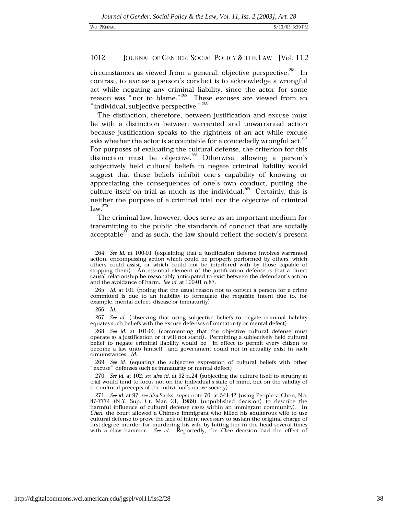circumstances as viewed from a general, objective perspective.<sup>264</sup> In contrast, to excuse a person's conduct is to acknowledge a wrongful act while negating any criminal liability, since the actor for some reason was "not to blame."<sup>265</sup> These excuses are viewed from an "individual, subjective perspective." 266

The distinction, therefore, between justification and excuse must lie with a distinction between warranted and unwarranted action because justification speaks to the rightness of an act while excuse asks whether the actor is accountable for a concededly wrongful act.<sup>267</sup> For purposes of evaluating the cultural defense, the criterion for this distinction must be objective.<sup>268</sup> Otherwise, allowing a person's subjectively held cultural beliefs to negate criminal liability would suggest that these beliefs inhibit one's capability of knowing or appreciating the consequences of one's own conduct, putting the culture itself on trial as much as the individual.<sup>269</sup> Certainly, this is neither the purpose of a criminal trial nor the objective of criminal  $law.<sup>270</sup>$ 

The criminal law, however, does serve as an important medium for transmitting to the public the standards of conduct that are socially acceptable $^{271}$  and as such, the law should reflect the society's present

265. Id. at 101 (noting that the usual reason not to convict a person for a crime committed is due to an inability to formulate the requisite intent due to, for example, mental defect, disease or immaturity).

 $266.$  Id.

267. See id. (observing that using subjective beliefs to negate criminal liability equates such beliefs with the excuse defenses of immaturity or mental defect).

268. See id. at 101-02 (commenting that the objective cultural defense must operate as a justification or it will not stand). Permitting a subjectively held cultural belief to negate criminal liability would be "in effect to permit every citizen to become a law unto himself" and government could not in actuality exist in such circumstances. Id.

269. See id. (equating the subjective expression of cultural beliefs with other " excuse" defenses such as immaturity or mental defect).

270. See id. at 102; see also id. at 92 n.24 (subjecting the culture itself to scrutiny at trial would tend to focus not on the individual's state of mind, but on the validity of the cultural precepts of the individual's native society).

<sup>264.</sup> See id. at 100-01 (explaining that a justification defense involves warranted action, encompassing action which could be properly performed by others, which others could assist, or which could not be interfered with by those capable of stopping them). An essential element of the justification defense is that a direct causal relationship be reasonably anticipated to exist between the defendant's action and the avoidance of harm. See id. at 100-01 n.87.

<sup>271.</sup> See id. at 97; see also Sacks, supra note 70, at 541-42 (using People v. Chen, No. 87-7774 (N.Y. Sup. Ct. Mar. 21, 1989) (unpublished decision) to describe the harmful influence of cultural defense cases within an immigrant community). In *Chen*, the court allowed a *Chinese immigrant* who killed his adulterous wife to use cultural defense to prove the lack of intent necessary to sustain the original charge of first-degree murder for murdering his wife by hitting her in the head several times with a claw hammer. See id. Reportedly, the Chen decision had the effect of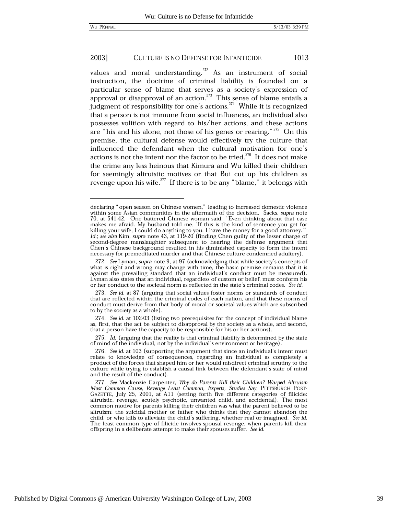values and moral understanding.<sup>272</sup> As an instrument of social instruction, the doctrine of criminal liability is founded on a particular sense of blame that serves as a society's expression of approval or disapproval of an action.<sup>273</sup> This sense of blame entails a judgment of responsibility for one's actions.  $274$  While it is recognized that a person is not immune from social influences, an individual also possesses volition with regard to his/her actions, and these actions are "his and his alone, not those of his genes or rearing." $275$  On this premise, the cultural defense would effectively try the culture that influenced the defendant when the cultural motivation for one's actions is not the intent nor the factor to be tried.<sup>276</sup> It does not make the crime any less heinous that Kimura and Wu killed their children for seemingly altruistic motives or that Bui cut up his children as revenge upon his wife.<sup>277</sup> If there is to be any "blame," it belongs with

275. Id. (arguing that the reality is that criminal liability is determined by the state of mind of the individual, not by the individual's environment or heritage).

declaring "open season on Chinese women," leading to increased domestic violence within some Asian communities in the aftermath of the decision. Sacks, supra note 70, at 541-42. One battered Chinese woman said, "Even thinking about that case makes me afraid. My husband told me, 'If this is the kind of sentence you get for killing your wife, I could do anything to you. I have the money for a good attorney."<br>Id.; see also Kim, supra note 43, at 119-20 (finding Chen guilty of the lesser charge of second-degree manslaughter subsequent to hearing the defense argument that Chen's Chinese background resulted in his diminished capacity to form the intent necessary for premeditated murder and that Chinese culture condemned adultery).

<sup>272.</sup> See Lyman, supra note 9, at 97 (acknowledging that while society's concepts of what is right and wrong may change with time, the basic premise remains that it is against the prevailing standard that an individual's conduct must be measured). Lyman also states that an individual, regardless of custom or belief, must conform his or her conduct to the societal norm as reflected in the state's criminal codes. See id.

<sup>273.</sup> See id. at 87 (arguing that social values foster norms or standards of conduct that are reflected within the criminal codes of each nation, and that these norms of conduct must derive from that body of moral or societal values which are subscribed to by the society as a whole).

<sup>274.</sup> See id. at 102-03 (listing two prerequisites for the concept of individual blame as, first, that the act be subject to disapproval by the society as a whole, and second, that a person have the capacity to be responsible for his or her actions).

<sup>276.</sup> See id. at 103 (supporting the argument that since an individual's intent must relate to knowledge of consequences, regarding an individual as completely a product of the forces that shaped him or her would misdirect criminal scrutiny to the culture while trying to establish a causal link between the defendant's state of mind and the result of the conduct).

<sup>277.</sup> See Mackenzie Carpenter, Why do Parents Kill their Children? Warped Altruism Most Common Cause, Revenge Least Common, Experts, Studies Say, PITTSBURGH POST-GAZETTE, July 25, 2001, at A11 (setting forth five different categories of filicide: altruistic, revenge, acutely psychotic, unwanted child, and accidental). The most common motive for parents killing their children was what the parent believed to be altruism: the suicidal mother or father who thinks that they cannot abandon the child, or who kills to alleviate the child's suffering, whether real or imagined. See id. The least common type of filicide involves spousal revenge, when parents kill their offspring in a deliberate attempt to make their spouses suffer. See id.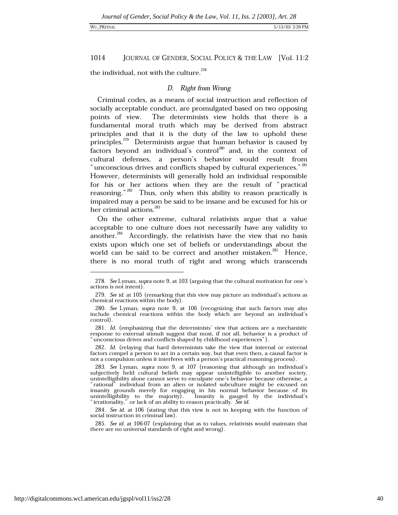### WU\_PKFINAL

### 1014 JOURNAL OF GENDER, SOCIAL POLICY & THE LAW [Vol. 11:2

the individual, not with the culture.<sup>278</sup>

# D. Right from Wrong

Criminal codes, as a means of social instruction and reflection of socially acceptable conduct, are promulgated based on two opposing points of view. The determinists view holds that there is a fundamental moral truth which may be derived from abstract principles and that it is the duty of the law to uphold these principles.<sup>279</sup> Determinists argue that human behavior is caused by factors beyond an individual's control<sup>280</sup> and, in the context of cultural defenses, a person's behavior would result from "unconscious drives and conflicts shaped by cultural experiences." 281 However, determinists will generally hold an individual responsible for his or her actions when they are the result of "practical reasoning."<sup>282</sup> Thus, only when this ability to reason practically is impaired may a person be said to be insane and be excused for his or her criminal actions.<sup>283</sup>

On the other extreme, cultural relativists argue that a value acceptable to one culture does not necessarily have any validity to another.<sup>284</sup> Accordingly, the relativists have the view that no basis exists upon which one set of beliefs or understandings about the world can be said to be correct and another mistaken.<sup>285</sup> Hence, there is no moral truth of right and wrong which transcends

284. See id. at 106 (stating that this view is not in keeping with the function of social instruction in criminal law).

285. See id. at 106-07 (explaining that as to values, relativists would maintain that there are no universal standards of right and wrong).

<sup>278.</sup> See Lyman, supra note 9, at 103 (arguing that the cultural motivation for one's actions is not intent).

<sup>279.</sup> See id. at 105 (remarking that this view may picture an individual's actions as chemical reactions within the body).

<sup>280.</sup> See Lyman, supra note 9, at 106 (recognizing that such factors may also include chemical reactions within the body which are beyond an individual's control.

<sup>281.</sup> Id. (emphasizing that the determinists' view that actions are a mechanistic response to external stimuli suggest that most, if not all, behavior is a product of unconscious drives and conflicts shaped by childhood experiences").

<sup>282.</sup> Id. (relaying that hard determinists take the view that internal or external factors compel a person to act in a certain way, but that even then, a causal factor is not a compulsion unless it interferes with a person's practical reasoning process).

<sup>283.</sup> See Lyman, supra note 9, at 107 (reasoning that although an individual's subjectively held cultural beliefs may appear unintelligible to another society, unintelligibility alone cannot serve to exculpate one's behavior because otherwise, a 'rational" individual from an alien or isolated subculture might be excused on insanity grounds merely for engaging in his normal behavior because of its unintelligibility to the majority). Insanity is gauged by the individual's "irrationality," or lack of an ability to reason practically. See id.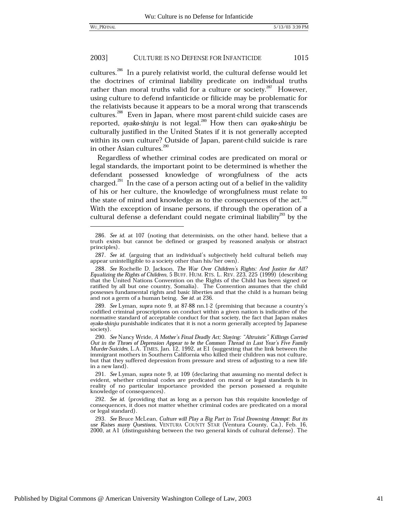cultures.<sup>286</sup> In a purely relativist world, the cultural defense would let the doctrines of criminal liability predicate on individual truths rather than moral truths valid for a culture or society.<sup>287</sup> However, using culture to defend infanticide or filicide may be problematic for the relativists because it appears to be a moral wrong that transcends cultures.<sup>288</sup> Even in Japan, where most parent-child suicide cases are reported, oyako-shinju is not legal.<sup>289</sup> How then can oyako-shinju be culturally justified in the United States if it is not generally accepted within its own culture? Outside of Japan, parent-child suicide is rare in other Asian cultures.<sup>290</sup>

Regardless of whether criminal codes are predicated on moral or legal standards, the important point to be determined is whether the defendant possessed knowledge of wrongfulness of the acts charged.<sup>291</sup> In the case of a person acting out of a belief in the validity of his or her culture, the knowledge of wrongfulness must relate to the state of mind and knowledge as to the consequences of the act.<sup>292</sup> With the exception of insane persons, if through the operation of a cultural defense a defendant could negate criminal liability<sup>293</sup> by the

<sup>286.</sup> See id. at 107 (noting that determinists, on the other hand, believe that a truth exists but cannot be defined or grasped by reasoned analysis or abstract principles).

<sup>287.</sup> See id. (arguing that an individual's subjectively held cultural beliefs may appear unintelligible to a society other than his/her own).

<sup>288.</sup> See Rochelle D. Jackson, The War Over Children's Rights: And Justice for All? Equalizing the Rights of Children, 5 BUFF. HUM. RTS. L. REV. 223, 225 (1999) (describing that the United Nations Convention on the Rights of the Child has been signed or ratified by all but one country, Somalia). The Convention assumes that the child possesses fundamental rights and basic liberties and that the child is a human being and not a germ of a human being. See id. at 236.

<sup>289.</sup> See Lyman, supra note 9, at 87-88 nn.1-2 (premising that because a country's codified criminal proscriptions on conduct within a given nation is indicative of the normative standard of acceptable conduct for that society, the fact that Japan makes oyako-shinju punishable indicates that it is not a norm generally accepted by Japanese society).

<sup>290.</sup> See Nancy Wride, A Mother's Final Deadly Act; Slaying: "Altruistic" Killings Carried Out in the Throes of Depression Appear to be the Common Thread in Last Year's Five Family Murder-Suicides, L.A. TIMES, Jan. 12, 1992, at E1 (suggesting that the link between the immigrant mothers in Southern California who killed their children was not culture, but that they suffered depression from pressure and stress of adjusting to a new life in a new land).

<sup>291.</sup> See Lyman, supra note 9, at 109 (declaring that assuming no mental defect is evident, whether criminal codes are predicated on moral or legal standards is in reality of no particular importance provided the person possessed a requisite knowledge of consequences).

<sup>292.</sup> See id. (providing that as long as a person has this requisite knowledge of consequences, it does not matter whether criminal codes are predicated on a moral or legal standard).

<sup>293.</sup> See Bruce McLean, Culture will Play a Big Part in Trial Drowning Attempt: But its use Raises many Questions, VENTURA COUNTY STAR (Ventura County, Ca.), Feb. 16, 2000, at A1 (distinguishing between the two general kinds of cultural defense). The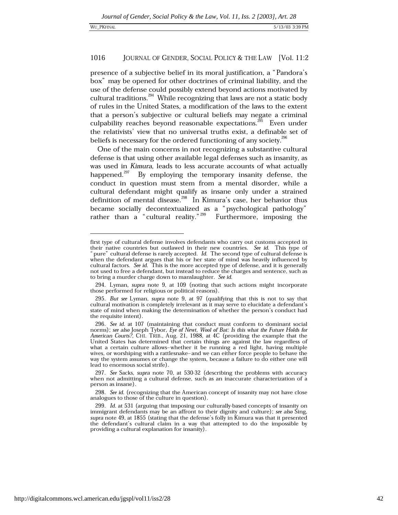presence of a subjective belief in its moral justification, a "Pandora's box" may be opened for other doctrines of criminal liability, and the use of the defense could possibly extend beyond actions motivated by cultural traditions.<sup>294</sup> While recognizing that laws are not a static body of rules in the United States, a modification of the laws to the extent that a person's subjective or cultural beliefs may negate a criminal culpability reaches beyond reasonable expectations.<sup>295</sup> Even under the relativists' view that no universal truths exist, a definable set of beliefs is necessary for the ordered functioning of any society.<sup>296</sup>

One of the main concerns in not recognizing a substantive cultural defense is that using other available legal defenses such as insanity, as was used in Kimura, leads to less accurate accounts of what actually happened.<sup>297</sup> By employing the temporary insanity defense, the conduct in question must stem from a mental disorder, while a cultural defendant might qualify as insane only under a strained definition of mental disease.<sup>298</sup> In Kimura's case, her behavior thus became socially decontextualized as a "psychological pathology" rather than  $a^{\text{``cultural reality.}}^{299}$ Furthermore, imposing the

first type of cultural defense involves defendants who carry out customs accepted in their native countries but outlawed in their new countries. See id. This type of pure" cultural defense is rarely accepted. Id. The second type of cultural defense is when the defendant argues that his or her state of mind was heavily influenced by cultural factors. See id. This is the more accepted type of defense, and it is generally not used to free a defendant, but instead to reduce the charges and sentence, such as to bring a murder charge down to manslaughter. See id.

<sup>294.</sup> Lyman, supra note 9, at 109 (noting that such actions might incorporate those performed for religious or political reasons).

<sup>295.</sup> But see Lyman, supra note 9, at 97 (qualifying that this is not to say that cultural motivation is completely irrelevant as it may serve to elucidate a defendant's state of mind when making the determination of whether the person's conduct had the requisite intent).

<sup>296.</sup> See id. at 107 (maintaining that conduct must conform to dominant social norms); see also Joseph Tybor, Eye of Newt, Wool of Bat: Is this what the Future Holds for American Courts?, CHI. TRIB., Aug. 21, 1988, at 4C (providing the example that the United States has determined that certain things are against the law regardless of what a certain culture allows-whether it be running a red light, having multiple wives, or worshiping with a rattlesnake–and we can either force people to behave the way the system assumes or change the system, because a failure to do either one will lead to enormous social strife).

<sup>297.</sup> See Sacks, supra note 70, at 530-32 (describing the problems with accuracy when not admitting a cultural defense, such as an inaccurate characterization of a person as insane).

<sup>298.</sup> See id. (recognizing that the American concept of insanity may not have close analogues to those of the culture in question).

<sup>299.</sup> Id. at 531 (arguing that imposing our culturally-based concepts of insanity on immigrant defendants may be an affront to their dignity and culture); see also Sing, supra note 49, at 1855 (stating that the defense's folly in Kimura was that it presented the defendant's cultural claim in a way that attempted to do the impossible by providing a cultural explanation for insanity).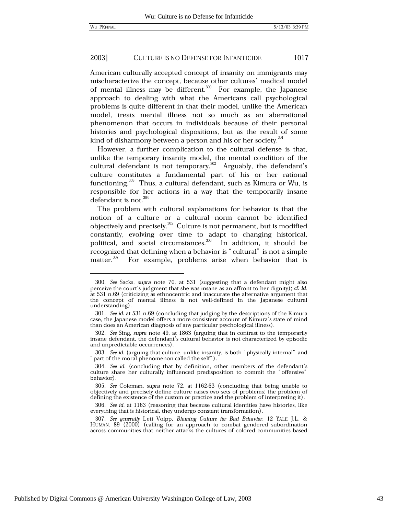American culturally accepted concept of insanity on immigrants may mischaracterize the concept, because other cultures' medical model of mental illness may be different.<sup>300</sup> For example, the Japanese approach to dealing with what the Americans call psychological problems is quite different in that their model, unlike the American model, treats mental illness not so much as an aberrational phenomenon that occurs in individuals because of their personal histories and psychological dispositions, but as the result of some kind of disharmony between a person and his or her society.<sup>301</sup>

However, a further complication to the cultural defense is that, unlike the temporary insanity model, the mental condition of the cultural defendant is not temporary.<sup>302</sup> Arguably, the defendant's culture constitutes a fundamental part of his or her rational functioning.<sup>303</sup> Thus, a cultural defendant, such as Kimura or Wu, is responsible for her actions in a way that the temporarily insane defendant is not.<sup>304</sup>

The problem with cultural explanations for behavior is that the notion of a culture or a cultural norm cannot be identified objectively and precisely.<sup>305</sup> Culture is not permanent, but is modified constantly, evolving over time to adapt to changing historical, political, and social circumstances.<sup>306</sup> In addition, it should be recognized that defining when a behavior is "cultural" is not a simple matter.<sup>307</sup> For example, problems arise when behavior that is

<sup>300.</sup> See Sacks, supra note 70, at 531 (suggesting that a defendant might also perceive the court's judgment that she was insane as an affront to her dignity); *cf.* id. at 531 n.69 (criticizing as ethnocentric and inaccurate the alternative argument that the concept of mental illness is not well-defined in the Japanese cultural understanding).

<sup>301.</sup> See id. at 531 n.69 (concluding that judging by the descriptions of the Kimura case, the Japanese model offers a more consistent account of Kimura's state of mind than does an American diagnosis of any particular psychological illness).

<sup>302.</sup> See Sing, supra note 49, at 1863 (arguing that in contrast to the temporarily insane defendant, the defendant's cultural behavior is not characterized by episodic and unpredictable occurrences).

<sup>303.</sup> See id. (arguing that culture, unlike insanity, is both "physically internal" and " part of the moral phenomenon called the self").

<sup>304.</sup> See id. (concluding that by definition, other members of the defendant's culture share her culturally influenced predisposition to commit the "offensive" behavior).

<sup>305.</sup> See Coleman, supra note 72, at 1162-63 (concluding that being unable to objectively and precisely define culture raises two sets of problems: the problem of defining the existence of the custom or practice and the problem of interpreting it).

<sup>306.</sup> See id. at 1163 (reasoning that because cultural identities have histories, like everything that is historical, they undergo constant transformation).

<sup>307.</sup> See generally Leti Volpp, Blaming Culture for Bad Behavior, 12 YALE J.L. & HUMAN. 89 (2000) (calling for an approach to combat gendered subordination across communities that neither attacks the cultures of colored communities based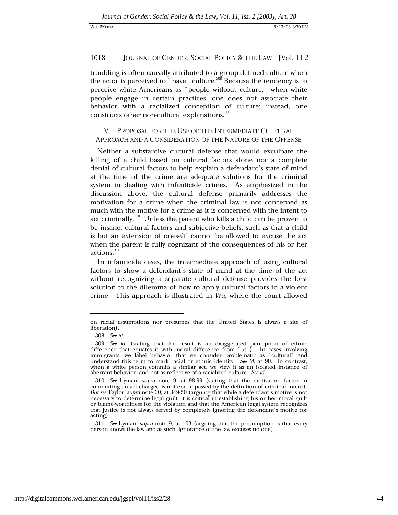troubling is often causally attributed to a group-defined culture when the actor is perceived to "have" culture.<sup>308</sup> Because the tendency is to perceive white Americans as "people without culture," when white people engage in certain practices, one does not associate their behavior with a racialized conception of culture; instead, one constructs other non-cultural explanations.<sup>309</sup>

# V. PROPOSAL FOR THE USE OF THE INTERMEDIATE CULTURAL APPROACH AND A CONSIDERATION OF THE NATURE OF THE OFFENSE

Neither a substantive cultural defense that would exculpate the killing of a child based on cultural factors alone nor a complete denial of cultural factors to help explain a defendant's state of mind at the time of the crime are adequate solutions for the criminal system in dealing with infanticide crimes. As emphasized in the discussion above, the cultural defense primarily addresses the motivation for a crime when the criminal law is not concerned as much with the motive for a crime as it is concerned with the intent to act criminally.<sup>310</sup> Unless the parent who kills a child can be proven to be insane, cultural factors and subjective beliefs, such as that a child is but an extension of oneself, cannot be allowed to excuse the act when the parent is fully cognizant of the consequences of his or her  $\arct$ ions. $^{311}$ 

In infanticide cases, the intermediate approach of using cultural factors to show a defendant's state of mind at the time of the act without recognizing a separate cultural defense provides the best solution to the dilemma of how to apply cultural factors to a violent crime. This approach is illustrated in Wu, where the court allowed

on racial assumptions nor presumes that the United States is always a site of liberation).

<sup>308.</sup> See id.

<sup>309.</sup> See id. (stating that the result is an exaggerated perception of ethnic difference that equates it with moral difference from  $\degree$ us"). In cases involving immigrants, we label behavior that we consider problematic as "cultural" and understand this term to mark racial or ethnic identity. See id. at 90. In contrast, when a white person commits a similar act, we view it as an isolated instance of aberrant behavior, and not as reflective of a racialized culture. See id.

<sup>310.</sup> See Lyman, supra note 9, at 98-99 (stating that the motivation factor in committing an act charged is not encompassed by the definition of criminal intent). But see Taylor, supra note 20, at 349-50 (arguing that while a defendant's motive is not necessary to determine legal guilt, it is critical in establishing his or her moral guilt or blame-worthiness for the violation and that the American legal system recognizes that justice is not always served by completely ignoring the defendant's motive for acting).

<sup>311.</sup> See Lyman, supra note 9, at 103 (arguing that the presumption is that every person knows the law and as such, ignorance of the law excuses no one).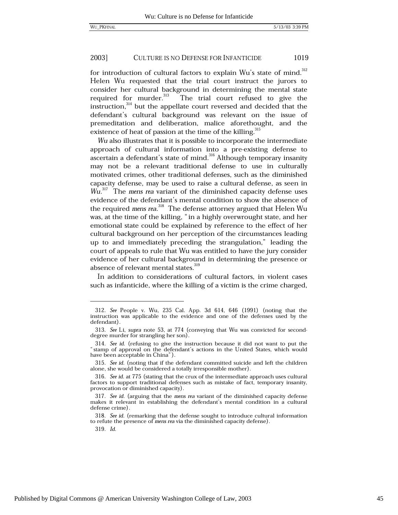for introduction of cultural factors to explain Wu's state of mind.<sup>312</sup> Helen Wu requested that the trial court instruct the jurors to consider her cultural background in determining the mental state required for murder.<sup>313</sup> The trial court refused to give the instruction,<sup>314</sup> but the appellate court reversed and decided that the defendant's cultural background was relevant on the issue of premeditation and deliberation, malice aforethought, and the existence of heat of passion at the time of the killing.<sup>315</sup>

Wu also illustrates that it is possible to incorporate the intermediate approach of cultural information into a pre-existing defense to ascertain a defendant's state of mind.<sup>316</sup> Although temporary insanity may not be a relevant traditional defense to use in culturally motivated crimes, other traditional defenses, such as the diminished capacity defense, may be used to raise a cultural defense, as seen in Wu.<sup>317</sup> The mens rea variant of the diminished capacity defense uses evidence of the defendant's mental condition to show the absence of the required mens rea.<sup>318</sup> The defense attorney argued that Helen Wu was, at the time of the killing, "in a highly overwrought state, and her emotional state could be explained by reference to the effect of her cultural background on her perception of the circumstances leading up to and immediately preceding the strangulation," leading the court of appeals to rule that Wu was entitled to have the jury consider evidence of her cultural background in determining the presence or absence of relevant mental states.<sup>319</sup>

In addition to considerations of cultural factors, in violent cases such as infanticide, where the killing of a victim is the crime charged,

319. Id.

<sup>312.</sup> See People v. Wu, 235 Cal. App. 3d 614, 646 (1991) (noting that the instruction was applicable to the evidence and one of the defenses used by the defendant).

<sup>313.</sup> See Li, supra note 53, at 774 (conveying that Wu was convicted for seconddegree murder for strangling her son).

<sup>314.</sup> See id. (refusing to give the instruction because it did not want to put the "stamp of approval on the defendant's actions in the United States, which would have been acceptable in China").

<sup>315.</sup> See id. (noting that if the defendant committed suicide and left the children alone, she would be considered a totally irresponsible mother).

<sup>316.</sup> See id. at 775 (stating that the crux of the intermediate approach uses cultural factors to support traditional defenses such as mistake of fact, temporary insanity, provocation or diminished capacity).

<sup>317.</sup> See id. (arguing that the mens rea variant of the diminished capacity defense makes it relevant in establishing the defendant's mental condition in a cultural defense crime).

<sup>318.</sup> See id. (remarking that the defense sought to introduce cultural information to refute the presence of mens rea via the diminished capacity defense).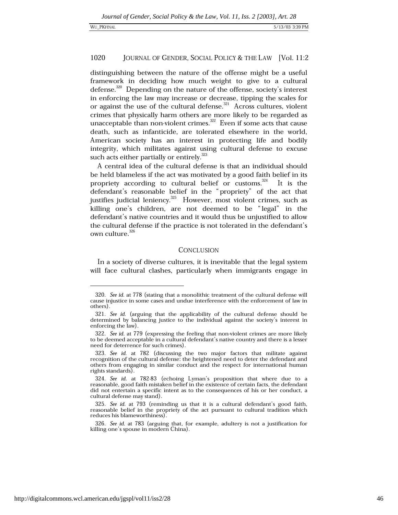distinguishing between the nature of the offense might be a useful framework in deciding how much weight to give to a cultural defense.<sup>320</sup> Depending on the nature of the offense, society's interest in enforcing the law may increase or decrease, tipping the scales for or against the use of the cultural defense.<sup>321</sup> Across cultures, violent crimes that physically harm others are more likely to be regarded as unacceptable than non-violent crimes.<sup>322</sup> Even if some acts that cause death, such as infanticide, are tolerated elsewhere in the world, American society has an interest in protecting life and bodily integrity, which militates against using cultural defense to excuse such acts either partially or entirely.<sup>323</sup>

A central idea of the cultural defense is that an individual should be held blameless if the act was motivated by a good faith belief in its propriety according to cultural belief or customs.<sup>324</sup> It is the defendant's reasonable belief in the "propriety" of the act that justifies judicial leniency.<sup>325</sup> However, most violent crimes, such as killing one's children, are not deemed to be "legal" in the defendant's native countries and it would thus be unjustified to allow the cultural defense if the practice is not tolerated in the defendant's own culture.<sup>326</sup>

## CONCLUSION

In a society of diverse cultures, it is inevitable that the legal system will face cultural clashes, particularly when immigrants engage in

<sup>320.</sup> See id. at 778 (stating that a monolithic treatment of the cultural defense will cause injustice in some cases and undue interference with the enforcement of law in others).

<sup>321.</sup> See id. (arguing that the applicability of the cultural defense should be determined by balancing justice to the individual against the society's interest in enforcing the law).

<sup>322.</sup> See id. at 779 (expressing the feeling that non-violent crimes are more likely to be deemed acceptable in a cultural defendant's native country and there is a lesser need for deterrence for such crimes).

<sup>323.</sup> See id. at 782 (discussing the two major factors that militate against recognition of the cultural defense: the heightened need to deter the defendant and others from engaging in similar conduct and the respect for international human rights standards).

<sup>324.</sup> See id. at 782-83 (echoing Lyman's proposition that where due to a reasonable, good faith mistaken belief in the existence of certain facts, the defendant did not entertain a specific intent as to the consequences of his or her conduct, a cultural defense may stand).

<sup>325.</sup> See id. at 793 (reminding us that it is a cultural defendant's good faith, reasonable belief in the propriety of the act pursuant to cultural tradition which reduces his blameworthiness).

<sup>326.</sup> See id. at 783 (arguing that, for example, adultery is not a justification for killing one's spouse in modern China).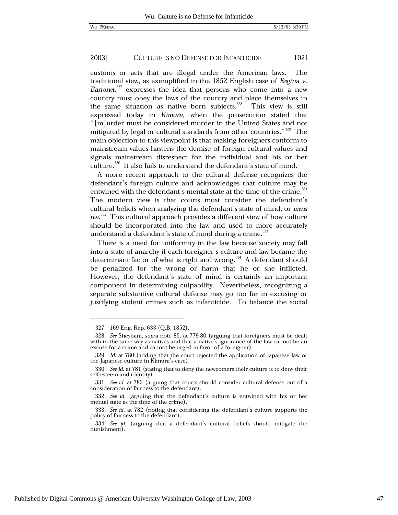customs or acts that are illegal under the American laws. The traditional view, as exemplified in the 1852 English case of Regina v. Barronet,<sup>327</sup> expresses the idea that persons who come into a new country must obey the laws of the country and place themselves in the same situation as native born subjects.<sup>328</sup> This view is still expressed today in Kimura, when the prosecution stated that " [m] urder must be considered murder in the United States and not mitigated by legal or cultural standards from other countries."<sup>329</sup> The main objection to this viewpoint is that making foreigners conform to mainstream values hastens the demise of foreign cultural values and signals mainstream disrespect for the individual and his or her culture.<sup>330</sup> It also fails to understand the defendant's state of mind.

A more recent approach to the cultural defense recognizes the defendant's foreign culture and acknowledges that culture may be entwined with the defendant's mental state at the time of the crime.<sup>331</sup> The modern view is that courts must consider the defendant's cultural beliefs when analyzing the defendant's state of mind, or mens rea.<sup>332</sup> This cultural approach provides a different view of how culture should be incorporated into the law and used to more accurately understand a defendant's state of mind during a crime.<sup>333</sup>

There is a need for uniformity in the law because society may fall into a state of anarchy if each foreigner's culture and law became the determinant factor of what is right and wrong.<sup>334</sup> A defendant should be penalized for the wrong or harm that he or she inflicted. However, the defendant's state of mind is certainly an important component in determining culpability. Nevertheless, recognizing a separate substantive cultural defense may go too far in excusing or justifying violent crimes such as infanticide. To balance the social

<sup>327. 169</sup> Eng. Rep. 633 (Q.B. 1852).

<sup>328.</sup> See Sheybani, supra note 85, at 779-80 (arguing that foreigners must be dealt with in the same way as natives and that a native's ignorance of the law cannot be an excuse for a crime and cannot be urged in favor of a foreigner).

<sup>329.</sup> Id. at 780 (adding that the court rejected the application of Japanese law or the Japanese culture in Kimura's case).

<sup>330.</sup> See id. at 781 (stating that to deny the newcomers their culture is to deny their self-esteem and identity).

<sup>331.</sup> See id. at 782 (arguing that courts should consider cultural defense out of a consideration of fairness to the defendant).

<sup>332.</sup> See id. (arguing that the defendant's culture is entwined with his or her mental state as the time of the crime).

<sup>333.</sup> See id. at 782 (noting that considering the defendant's culture supports the policy of fairness to the defendant).

<sup>334.</sup> See id. (arguing that a defendant's cultural beliefs should mitigate the punishment).